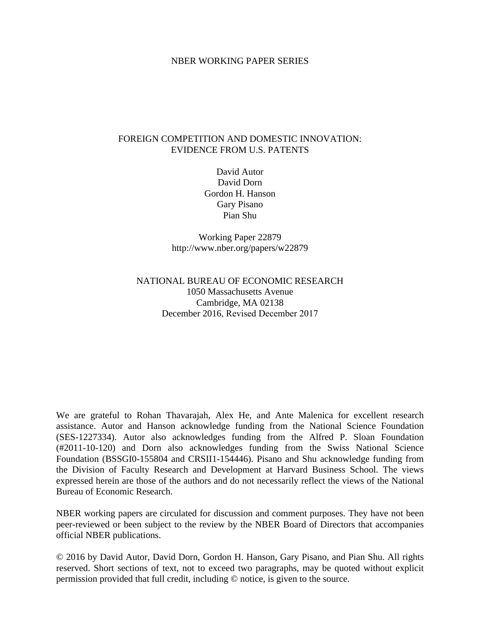## NBER WORKING PAPER SERIES

## FOREIGN COMPETITION AND DOMESTIC INNOVATION: EVIDENCE FROM U.S. PATENTS

David Autor David Dorn Gordon H. Hanson Gary Pisano Pian Shu

Working Paper 22879 http://www.nber.org/papers/w22879

# NATIONAL BUREAU OF ECONOMIC RESEARCH 1050 Massachusetts Avenue Cambridge, MA 02138 December 2016, Revised December 2017

We are grateful to Rohan Thavarajah, Alex He, and Ante Malenica for excellent research assistance. Autor and Hanson acknowledge funding from the National Science Foundation (SES-1227334). Autor also acknowledges funding from the Alfred P. Sloan Foundation (#2011-10-120) and Dorn also acknowledges funding from the Swiss National Science Foundation (BSSGI0-155804 and CRSII1-154446). Pisano and Shu acknowledge funding from the Division of Faculty Research and Development at Harvard Business School. The views expressed herein are those of the authors and do not necessarily reflect the views of the National Bureau of Economic Research.

NBER working papers are circulated for discussion and comment purposes. They have not been peer-reviewed or been subject to the review by the NBER Board of Directors that accompanies official NBER publications.

© 2016 by David Autor, David Dorn, Gordon H. Hanson, Gary Pisano, and Pian Shu. All rights reserved. Short sections of text, not to exceed two paragraphs, may be quoted without explicit permission provided that full credit, including © notice, is given to the source.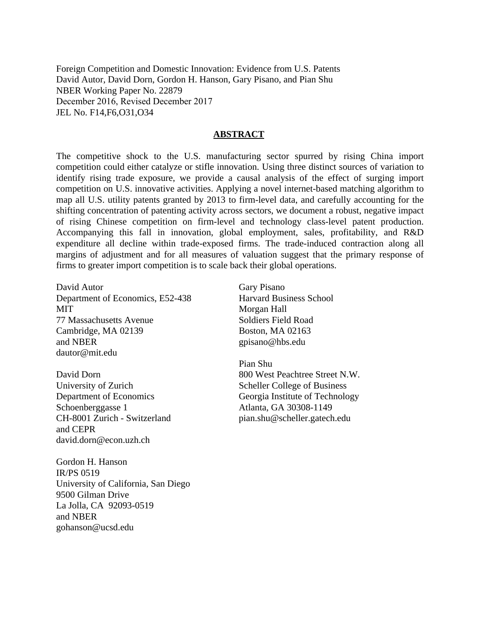Foreign Competition and Domestic Innovation: Evidence from U.S. Patents David Autor, David Dorn, Gordon H. Hanson, Gary Pisano, and Pian Shu NBER Working Paper No. 22879 December 2016, Revised December 2017 JEL No. F14,F6,O31,O34

## **ABSTRACT**

The competitive shock to the U.S. manufacturing sector spurred by rising China import competition could either catalyze or stifle innovation. Using three distinct sources of variation to identify rising trade exposure, we provide a causal analysis of the effect of surging import competition on U.S. innovative activities. Applying a novel internet-based matching algorithm to map all U.S. utility patents granted by 2013 to firm-level data, and carefully accounting for the shifting concentration of patenting activity across sectors, we document a robust, negative impact of rising Chinese competition on firm-level and technology class-level patent production. Accompanying this fall in innovation, global employment, sales, profitability, and R&D expenditure all decline within trade-exposed firms. The trade-induced contraction along all margins of adjustment and for all measures of valuation suggest that the primary response of firms to greater import competition is to scale back their global operations.

David Autor Department of Economics, E52-438 **MIT** 77 Massachusetts Avenue Cambridge, MA 02139 and NBER dautor@mit.edu

David Dorn University of Zurich Department of Economics Schoenberggasse 1 CH-8001 Zurich - Switzerland and CEPR david.dorn@econ.uzh.ch

Gordon H. Hanson IR/PS 0519 University of California, San Diego 9500 Gilman Drive La Jolla, CA 92093-0519 and NBER gohanson@ucsd.edu

Gary Pisano Harvard Business School Morgan Hall Soldiers Field Road Boston, MA 02163 gpisano@hbs.edu

Pian Shu 800 West Peachtree Street N.W. Scheller College of Business Georgia Institute of Technology Atlanta, GA 30308-1149 pian.shu@scheller.gatech.edu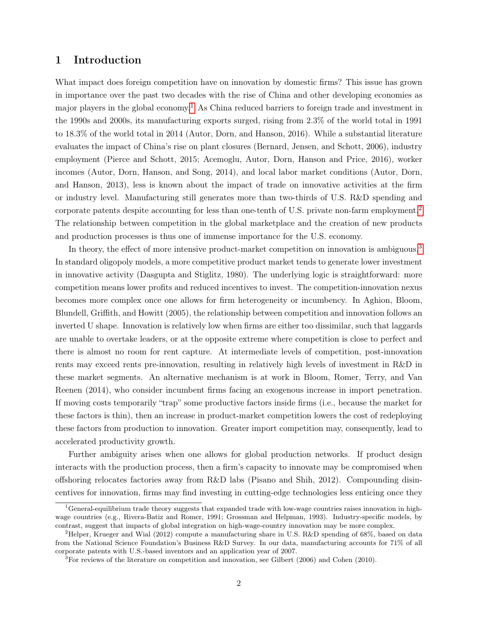# 1 Introduction

What impact does foreign competition have on innovation by domestic firms? This issue has grown in importance over the past two decades with the rise of China and other developing economies as major players in the global economy.<sup>[1](#page-2-0)</sup> As China reduced barriers to foreign trade and investment in the 1990s and 2000s, its manufacturing exports surged, rising from 2.3% of the world total in 1991 to 18.3% of the world total in 2014 (Autor, Dorn, and Hanson, 2016). While a substantial literature evaluates the impact of China's rise on plant closures (Bernard, Jensen, and Schott, 2006), industry employment (Pierce and Schott, 2015; Acemoglu, Autor, Dorn, Hanson and Price, 2016), worker incomes (Autor, Dorn, Hanson, and Song, 2014), and local labor market conditions (Autor, Dorn, and Hanson, 2013), less is known about the impact of trade on innovative activities at the firm or industry level. Manufacturing still generates more than two-thirds of U.S. R&D spending and corporate patents despite accounting for less than one-tenth of U.S. private non-farm employment.[2](#page-2-1) The relationship between competition in the global marketplace and the creation of new products and production processes is thus one of immense importance for the U.S. economy.

In theory, the effect of more intensive product-market competition on innovation is ambiguous.<sup>[3](#page-2-2)</sup> In standard oligopoly models, a more competitive product market tends to generate lower investment in innovative activity (Dasgupta and Stiglitz, 1980). The underlying logic is straightforward: more competition means lower profits and reduced incentives to invest. The competition-innovation nexus becomes more complex once one allows for firm heterogeneity or incumbency. In Aghion, Bloom, Blundell, Griffith, and Howitt (2005), the relationship between competition and innovation follows an inverted U shape. Innovation is relatively low when firms are either too dissimilar, such that laggards are unable to overtake leaders, or at the opposite extreme where competition is close to perfect and there is almost no room for rent capture. At intermediate levels of competition, post-innovation rents may exceed rents pre-innovation, resulting in relatively high levels of investment in R&D in these market segments. An alternative mechanism is at work in Bloom, Romer, Terry, and Van Reenen (2014), who consider incumbent firms facing an exogenous increase in import penetration. If moving costs temporarily "trap" some productive factors inside firms (i.e., because the market for these factors is thin), then an increase in product-market competition lowers the cost of redeploying these factors from production to innovation. Greater import competition may, consequently, lead to accelerated productivity growth.

Further ambiguity arises when one allows for global production networks. If product design interacts with the production process, then a firm's capacity to innovate may be compromised when offshoring relocates factories away from R&D labs (Pisano and Shih, 2012). Compounding disincentives for innovation, firms may find investing in cutting-edge technologies less enticing once they

<span id="page-2-0"></span><sup>&</sup>lt;sup>1</sup>General-equilibrium trade theory suggests that expanded trade with low-wage countries raises innovation in highwage countries (e.g., Rivera-Batiz and Romer, 1991; Grossman and Helpman, 1993). Industry-specific models, by contrast, suggest that impacts of global integration on high-wage-country innovation may be more complex.

<span id="page-2-1"></span><sup>&</sup>lt;sup>2</sup>Helper, Krueger and Wial (2012) compute a manufacturing share in U.S. R&D spending of 68%, based on data from the National Science Foundation's Business R&D Survey. In our data, manufacturing accounts for 71% of all corporate patents with U.S.-based inventors and an application year of 2007.

<span id="page-2-2"></span><sup>3</sup>For reviews of the literature on competition and innovation, see Gilbert (2006) and Cohen (2010).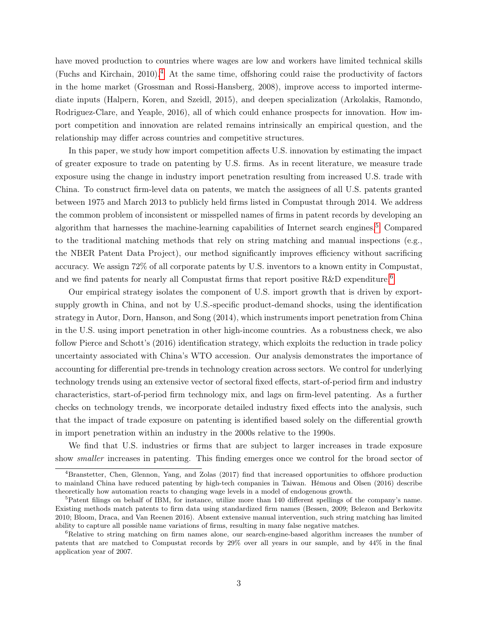have moved production to countries where wages are low and workers have limited technical skills (Fuchs and Kirchain, 2010).<sup>[4](#page-3-0)</sup> At the same time, offshoring could raise the productivity of factors in the home market (Grossman and Rossi-Hansberg, 2008), improve access to imported intermediate inputs (Halpern, Koren, and Szeidl, 2015), and deepen specialization (Arkolakis, Ramondo, Rodriguez-Clare, and Yeaple, 2016), all of which could enhance prospects for innovation. How import competition and innovation are related remains intrinsically an empirical question, and the relationship may differ across countries and competitive structures.

In this paper, we study how import competition affects U.S. innovation by estimating the impact of greater exposure to trade on patenting by U.S. firms. As in recent literature, we measure trade exposure using the change in industry import penetration resulting from increased U.S. trade with China. To construct firm-level data on patents, we match the assignees of all U.S. patents granted between 1975 and March 2013 to publicly held firms listed in Compustat through 2014. We address the common problem of inconsistent or misspelled names of firms in patent records by developing an algorithm that harnesses the machine-learning capabilities of Internet search engines.[5](#page-3-1) Compared to the traditional matching methods that rely on string matching and manual inspections (e.g., the NBER Patent Data Project), our method significantly improves efficiency without sacrificing accuracy. We assign 72% of all corporate patents by U.S. inventors to a known entity in Compustat, and we find patents for nearly all Compustat firms that report positive R&D expenditure.<sup>[6](#page-3-2)</sup>

Our empirical strategy isolates the component of U.S. import growth that is driven by exportsupply growth in China, and not by U.S.-specific product-demand shocks, using the identification strategy in Autor, Dorn, Hanson, and Song (2014), which instruments import penetration from China in the U.S. using import penetration in other high-income countries. As a robustness check, we also follow Pierce and Schott's (2016) identification strategy, which exploits the reduction in trade policy uncertainty associated with China's WTO accession. Our analysis demonstrates the importance of accounting for differential pre-trends in technology creation across sectors. We control for underlying technology trends using an extensive vector of sectoral fixed effects, start-of-period firm and industry characteristics, start-of-period firm technology mix, and lags on firm-level patenting. As a further checks on technology trends, we incorporate detailed industry fixed effects into the analysis, such that the impact of trade exposure on patenting is identified based solely on the differential growth in import penetration within an industry in the 2000s relative to the 1990s.

We find that U.S. industries or firms that are subject to larger increases in trade exposure show smaller increases in patenting. This finding emerges once we control for the broad sector of

<span id="page-3-0"></span><sup>&</sup>lt;sup>4</sup>Branstetter, Chen, Glennon, Yang, and Zolas (2017) find that increased opportunities to offshore production to mainland China have reduced patenting by high-tech companies in Taiwan. Hémous and Olsen (2016) describe theoretically how automation reacts to changing wage levels in a model of endogenous growth.

<span id="page-3-1"></span><sup>&</sup>lt;sup>5</sup>Patent filings on behalf of IBM, for instance, utilize more than 140 different spellings of the company's name. Existing methods match patents to firm data using standardized firm names (Bessen, 2009; Belezon and Berkovitz 2010; Bloom, Draca, and Van Reenen 2016). Absent extensive manual intervention, such string matching has limited ability to capture all possible name variations of firms, resulting in many false negative matches.

<span id="page-3-2"></span><sup>&</sup>lt;sup>6</sup>Relative to string matching on firm names alone, our search-engine-based algorithm increases the number of patents that are matched to Compustat records by 29% over all years in our sample, and by 44% in the final application year of 2007.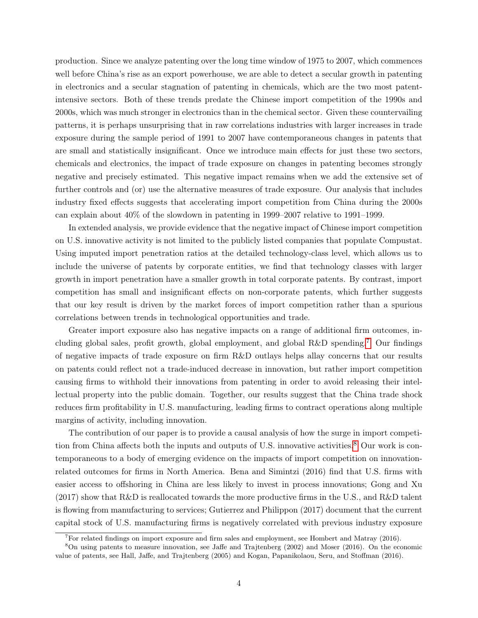production. Since we analyze patenting over the long time window of 1975 to 2007, which commences well before China's rise as an export powerhouse, we are able to detect a secular growth in patenting in electronics and a secular stagnation of patenting in chemicals, which are the two most patentintensive sectors. Both of these trends predate the Chinese import competition of the 1990s and 2000s, which was much stronger in electronics than in the chemical sector. Given these countervailing patterns, it is perhaps unsurprising that in raw correlations industries with larger increases in trade exposure during the sample period of 1991 to 2007 have contemporaneous changes in patents that are small and statistically insignificant. Once we introduce main effects for just these two sectors, chemicals and electronics, the impact of trade exposure on changes in patenting becomes strongly negative and precisely estimated. This negative impact remains when we add the extensive set of further controls and (or) use the alternative measures of trade exposure. Our analysis that includes industry fixed effects suggests that accelerating import competition from China during the 2000s can explain about 40% of the slowdown in patenting in 1999–2007 relative to 1991–1999.

In extended analysis, we provide evidence that the negative impact of Chinese import competition on U.S. innovative activity is not limited to the publicly listed companies that populate Compustat. Using imputed import penetration ratios at the detailed technology-class level, which allows us to include the universe of patents by corporate entities, we find that technology classes with larger growth in import penetration have a smaller growth in total corporate patents. By contrast, import competition has small and insignificant effects on non-corporate patents, which further suggests that our key result is driven by the market forces of import competition rather than a spurious correlations between trends in technological opportunities and trade.

Greater import exposure also has negative impacts on a range of additional firm outcomes, including global sales, profit growth, global employment, and global  $R\&D$  spending.<sup>[7](#page-4-0)</sup> Our findings of negative impacts of trade exposure on firm R&D outlays helps allay concerns that our results on patents could reflect not a trade-induced decrease in innovation, but rather import competition causing firms to withhold their innovations from patenting in order to avoid releasing their intellectual property into the public domain. Together, our results suggest that the China trade shock reduces firm profitability in U.S. manufacturing, leading firms to contract operations along multiple margins of activity, including innovation.

The contribution of our paper is to provide a causal analysis of how the surge in import competi-tion from China affects both the inputs and outputs of U.S. innovative activities.<sup>[8](#page-4-1)</sup> Our work is contemporaneous to a body of emerging evidence on the impacts of import competition on innovationrelated outcomes for firms in North America. Bena and Simintzi (2016) find that U.S. firms with easier access to offshoring in China are less likely to invest in process innovations; Gong and Xu (2017) show that R&D is reallocated towards the more productive firms in the U.S., and R&D talent is flowing from manufacturing to services; Gutierrez and Philippon (2017) document that the current capital stock of U.S. manufacturing firms is negatively correlated with previous industry exposure

<span id="page-4-1"></span><span id="page-4-0"></span> ${}^{7}$ For related findings on import exposure and firm sales and employment, see Hombert and Matray (2016).

<sup>8</sup>On using patents to measure innovation, see Jaffe and Trajtenberg (2002) and Moser (2016). On the economic value of patents, see Hall, Jaffe, and Trajtenberg (2005) and Kogan, Papanikolaou, Seru, and Stoffman (2016).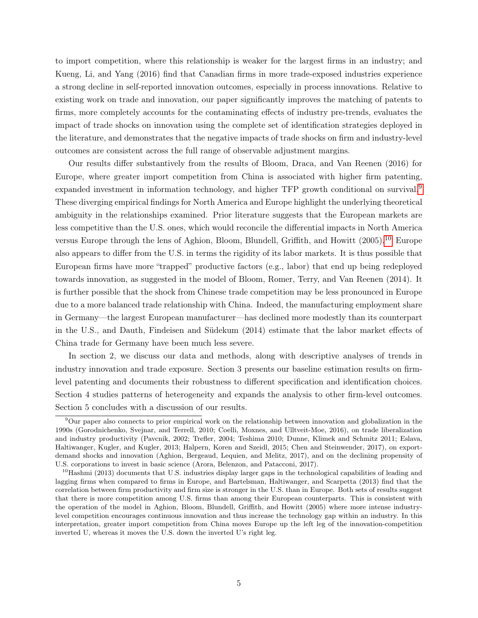to import competition, where this relationship is weaker for the largest firms in an industry; and Kueng, Li, and Yang (2016) find that Canadian firms in more trade-exposed industries experience a strong decline in self-reported innovation outcomes, especially in process innovations. Relative to existing work on trade and innovation, our paper significantly improves the matching of patents to firms, more completely accounts for the contaminating effects of industry pre-trends, evaluates the impact of trade shocks on innovation using the complete set of identification strategies deployed in the literature, and demonstrates that the negative impacts of trade shocks on firm and industry-level outcomes are consistent across the full range of observable adjustment margins.

Our results differ substantively from the results of Bloom, Draca, and Van Reenen (2016) for Europe, where greater import competition from China is associated with higher firm patenting, expanded investment in information technology, and higher TFP growth conditional on survival.<sup>[9](#page-5-0)</sup> These diverging empirical findings for North America and Europe highlight the underlying theoretical ambiguity in the relationships examined. Prior literature suggests that the European markets are less competitive than the U.S. ones, which would reconcile the differential impacts in North America versus Europe through the lens of Aghion, Bloom, Blundell, Griffith, and Howitt (2005).<sup>[10](#page-5-1)</sup> Europe also appears to differ from the U.S. in terms the rigidity of its labor markets. It is thus possible that European firms have more "trapped" productive factors (e.g., labor) that end up being redeployed towards innovation, as suggested in the model of Bloom, Romer, Terry, and Van Reenen (2014). It is further possible that the shock from Chinese trade competition may be less pronounced in Europe due to a more balanced trade relationship with China. Indeed, the manufacturing employment share in Germany—the largest European manufacturer—has declined more modestly than its counterpart in the U.S., and Dauth, Findeisen and Südekum (2014) estimate that the labor market effects of China trade for Germany have been much less severe.

In section 2, we discuss our data and methods, along with descriptive analyses of trends in industry innovation and trade exposure. Section 3 presents our baseline estimation results on firmlevel patenting and documents their robustness to different specification and identification choices. Section 4 studies patterns of heterogeneity and expands the analysis to other firm-level outcomes. Section 5 concludes with a discussion of our results.

<span id="page-5-0"></span><sup>9</sup>Our paper also connects to prior empirical work on the relationship between innovation and globalization in the 1990s (Gorodnichenko, Svejnar, and Terrell, 2010; Coelli, Moxnes, and Ulltveit-Moe, 2016), on trade liberalization and industry productivity (Pavcnik, 2002; Trefler, 2004; Teshima 2010; Dunne, Klimek and Schmitz 2011; Eslava, Haltiwanger, Kugler, and Kugler, 2013; Halpern, Koren and Szeidl, 2015; Chen and Steinwender, 2017), on exportdemand shocks and innovation (Aghion, Bergeaud, Lequien, and Melitz, 2017), and on the declining propensity of U.S. corporations to invest in basic science (Arora, Belenzon, and Patacconi, 2017).

<span id="page-5-1"></span> $10$ Hashmi (2013) documents that U.S. industries display larger gaps in the technological capabilities of leading and lagging firms when compared to firms in Europe, and Bartelsman, Haltiwanger, and Scarpetta (2013) find that the correlation between firm productivity and firm size is stronger in the U.S. than in Europe. Both sets of results suggest that there is more competition among U.S. firms than among their European counterparts. This is consistent with the operation of the model in Aghion, Bloom, Blundell, Griffith, and Howitt (2005) where more intense industrylevel competition encourages continuous innovation and thus increase the technology gap within an industry. In this interpretation, greater import competition from China moves Europe up the left leg of the innovation-competition inverted U, whereas it moves the U.S. down the inverted U's right leg.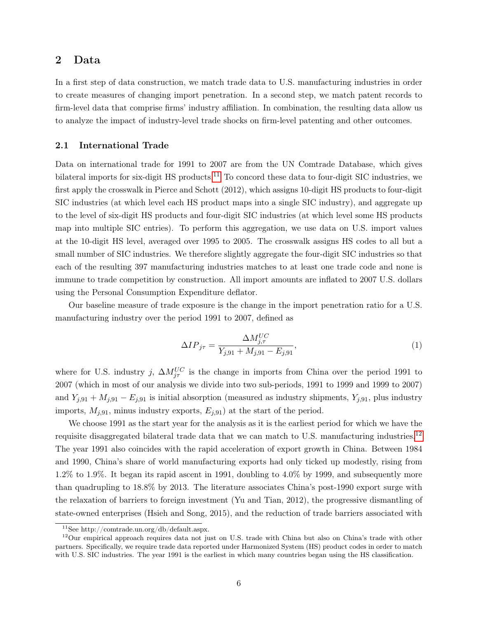## 2 Data

In a first step of data construction, we match trade data to U.S. manufacturing industries in order to create measures of changing import penetration. In a second step, we match patent records to firm-level data that comprise firms' industry affiliation. In combination, the resulting data allow us to analyze the impact of industry-level trade shocks on firm-level patenting and other outcomes.

#### <span id="page-6-3"></span>2.1 International Trade

Data on international trade for 1991 to 2007 are from the UN Comtrade Database, which gives bilateral imports for six-digit HS products.<sup>[11](#page-6-0)</sup> To concord these data to four-digit SIC industries, we first apply the crosswalk in Pierce and Schott (2012), which assigns 10-digit HS products to four-digit SIC industries (at which level each HS product maps into a single SIC industry), and aggregate up to the level of six-digit HS products and four-digit SIC industries (at which level some HS products map into multiple SIC entries). To perform this aggregation, we use data on U.S. import values at the 10-digit HS level, averaged over 1995 to 2005. The crosswalk assigns HS codes to all but a small number of SIC industries. We therefore slightly aggregate the four-digit SIC industries so that each of the resulting 397 manufacturing industries matches to at least one trade code and none is immune to trade competition by construction. All import amounts are inflated to 2007 U.S. dollars using the Personal Consumption Expenditure deflator.

Our baseline measure of trade exposure is the change in the import penetration ratio for a U.S. manufacturing industry over the period 1991 to 2007, defined as

<span id="page-6-2"></span>
$$
\Delta IP_{j\tau} = \frac{\Delta M_{j,\tau}^{UC}}{Y_{j,91} + M_{j,91} - E_{j,91}},\tag{1}
$$

where for U.S. industry j,  $\Delta M_{j\tau}^{UC}$  is the change in imports from China over the period 1991 to 2007 (which in most of our analysis we divide into two sub-periods, 1991 to 1999 and 1999 to 2007) and  $Y_{j,91} + M_{j,91} - E_{j,91}$  is initial absorption (measured as industry shipments,  $Y_{j,91}$ , plus industry imports,  $M_{j,91}$ , minus industry exports,  $E_{j,91}$  at the start of the period.

We choose 1991 as the start year for the analysis as it is the earliest period for which we have the requisite disaggregated bilateral trade data that we can match to U.S. manufacturing industries.<sup>[12](#page-6-1)</sup> The year 1991 also coincides with the rapid acceleration of export growth in China. Between 1984 and 1990, China's share of world manufacturing exports had only ticked up modestly, rising from 1.2% to 1.9%. It began its rapid ascent in 1991, doubling to 4.0% by 1999, and subsequently more than quadrupling to 18.8% by 2013. The literature associates China's post-1990 export surge with the relaxation of barriers to foreign investment (Yu and Tian, 2012), the progressive dismantling of state-owned enterprises (Hsieh and Song, 2015), and the reduction of trade barriers associated with

<span id="page-6-1"></span><span id="page-6-0"></span><sup>11</sup>See http://comtrade.un.org/db/default.aspx.

 $12$ Our empirical approach requires data not just on U.S. trade with China but also on China's trade with other partners. Specifically, we require trade data reported under Harmonized System (HS) product codes in order to match with U.S. SIC industries. The year 1991 is the earliest in which many countries began using the HS classification.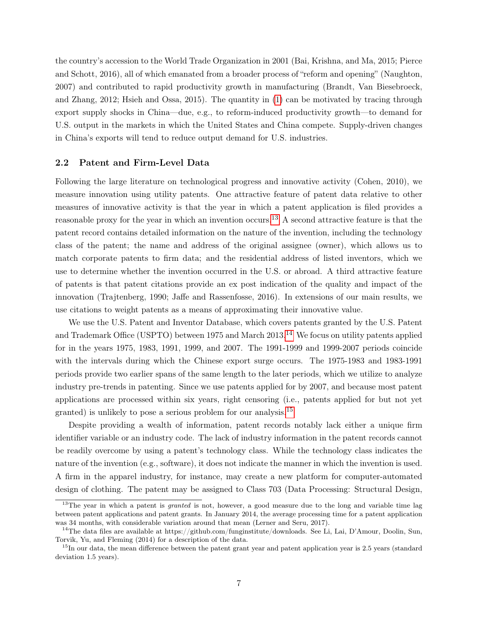the country's accession to the World Trade Organization in 2001 (Bai, Krishna, and Ma, 2015; Pierce and Schott, 2016), all of which emanated from a broader process of "reform and opening" (Naughton, 2007) and contributed to rapid productivity growth in manufacturing (Brandt, Van Biesebroeck, and Zhang, 2012; Hsieh and Ossa, 2015). The quantity in [\(1\)](#page-6-2) can be motivated by tracing through export supply shocks in China—due, e.g., to reform-induced productivity growth—to demand for U.S. output in the markets in which the United States and China compete. Supply-driven changes in China's exports will tend to reduce output demand for U.S. industries.

#### 2.2 Patent and Firm-Level Data

Following the large literature on technological progress and innovative activity (Cohen, 2010), we measure innovation using utility patents. One attractive feature of patent data relative to other measures of innovative activity is that the year in which a patent application is filed provides a reasonable proxy for the year in which an invention occurs.[13](#page-7-0) A second attractive feature is that the patent record contains detailed information on the nature of the invention, including the technology class of the patent; the name and address of the original assignee (owner), which allows us to match corporate patents to firm data; and the residential address of listed inventors, which we use to determine whether the invention occurred in the U.S. or abroad. A third attractive feature of patents is that patent citations provide an ex post indication of the quality and impact of the innovation (Trajtenberg, 1990; Jaffe and Rassenfosse, 2016). In extensions of our main results, we use citations to weight patents as a means of approximating their innovative value.

We use the U.S. Patent and Inventor Database, which covers patents granted by the U.S. Patent and Trademark Office (USPTO) between 1975 and March 2013.<sup>[14](#page-7-1)</sup> We focus on utility patents applied for in the years 1975, 1983, 1991, 1999, and 2007. The 1991-1999 and 1999-2007 periods coincide with the intervals during which the Chinese export surge occurs. The 1975-1983 and 1983-1991 periods provide two earlier spans of the same length to the later periods, which we utilize to analyze industry pre-trends in patenting. Since we use patents applied for by 2007, and because most patent applications are processed within six years, right censoring (i.e., patents applied for but not yet granted) is unlikely to pose a serious problem for our analysis.[15](#page-7-2)

Despite providing a wealth of information, patent records notably lack either a unique firm identifier variable or an industry code. The lack of industry information in the patent records cannot be readily overcome by using a patent's technology class. While the technology class indicates the nature of the invention (e.g., software), it does not indicate the manner in which the invention is used. A firm in the apparel industry, for instance, may create a new platform for computer-automated design of clothing. The patent may be assigned to Class 703 (Data Processing: Structural Design,

<span id="page-7-0"></span><sup>&</sup>lt;sup>13</sup>The year in which a patent is *granted* is not, however, a good measure due to the long and variable time lag between patent applications and patent grants. In January 2014, the average processing time for a patent application was 34 months, with considerable variation around that mean (Lerner and Seru, 2017).

<span id="page-7-1"></span><sup>&</sup>lt;sup>14</sup>The data files are available at https://github.com/funginstitute/downloads. See Li, Lai, D'Amour, Doolin, Sun, Torvik, Yu, and Fleming (2014) for a description of the data.

<span id="page-7-2"></span> $15$ In our data, the mean difference between the patent grant year and patent application year is 2.5 years (standard deviation 1.5 years).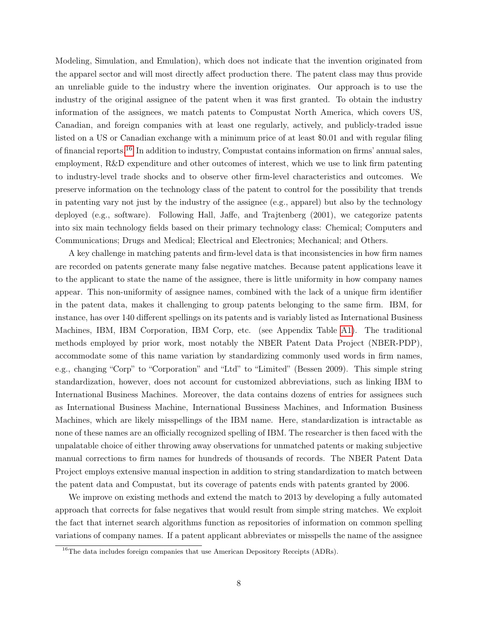Modeling, Simulation, and Emulation), which does not indicate that the invention originated from the apparel sector and will most directly affect production there. The patent class may thus provide an unreliable guide to the industry where the invention originates. Our approach is to use the industry of the original assignee of the patent when it was first granted. To obtain the industry information of the assignees, we match patents to Compustat North America, which covers US, Canadian, and foreign companies with at least one regularly, actively, and publicly-traded issue listed on a US or Canadian exchange with a minimum price of at least \$0.01 and with regular filing of financial reports.[16](#page-8-0) In addition to industry, Compustat contains information on firms' annual sales, employment, R&D expenditure and other outcomes of interest, which we use to link firm patenting to industry-level trade shocks and to observe other firm-level characteristics and outcomes. We preserve information on the technology class of the patent to control for the possibility that trends in patenting vary not just by the industry of the assignee (e.g., apparel) but also by the technology deployed (e.g., software). Following Hall, Jaffe, and Trajtenberg (2001), we categorize patents into six main technology fields based on their primary technology class: Chemical; Computers and Communications; Drugs and Medical; Electrical and Electronics; Mechanical; and Others.

A key challenge in matching patents and firm-level data is that inconsistencies in how firm names are recorded on patents generate many false negative matches. Because patent applications leave it to the applicant to state the name of the assignee, there is little uniformity in how company names appear. This non-uniformity of assignee names, combined with the lack of a unique firm identifier in the patent data, makes it challenging to group patents belonging to the same firm. IBM, for instance, has over 140 different spellings on its patents and is variably listed as International Business Machines, IBM, IBM Corporation, IBM Corp, etc. (see Appendix Table [A1\)](#page-39-0). The traditional methods employed by prior work, most notably the NBER Patent Data Project (NBER-PDP), accommodate some of this name variation by standardizing commonly used words in firm names, e.g., changing "Corp" to "Corporation" and "Ltd" to "Limited" (Bessen 2009). This simple string standardization, however, does not account for customized abbreviations, such as linking IBM to International Business Machines. Moreover, the data contains dozens of entries for assignees such as International Business Machine, International Bussiness Machines, and Information Business Machines, which are likely misspellings of the IBM name. Here, standardization is intractable as none of these names are an officially recognized spelling of IBM. The researcher is then faced with the unpalatable choice of either throwing away observations for unmatched patents or making subjective manual corrections to firm names for hundreds of thousands of records. The NBER Patent Data Project employs extensive manual inspection in addition to string standardization to match between the patent data and Compustat, but its coverage of patents ends with patents granted by 2006.

We improve on existing methods and extend the match to 2013 by developing a fully automated approach that corrects for false negatives that would result from simple string matches. We exploit the fact that internet search algorithms function as repositories of information on common spelling variations of company names. If a patent applicant abbreviates or misspells the name of the assignee

<span id="page-8-0"></span><sup>&</sup>lt;sup>16</sup>The data includes foreign companies that use American Depository Receipts (ADRs).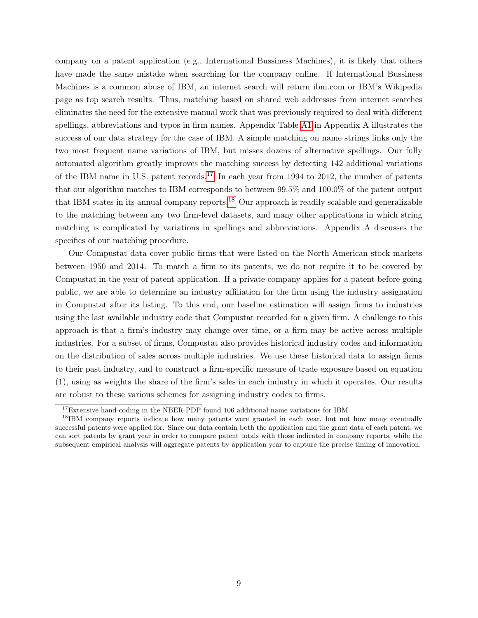company on a patent application (e.g., International Bussiness Machines), it is likely that others have made the same mistake when searching for the company online. If International Bussiness Machines is a common abuse of IBM, an internet search will return ibm.com or IBM's Wikipedia page as top search results. Thus, matching based on shared web addresses from internet searches eliminates the need for the extensive manual work that was previously required to deal with different spellings, abbreviations and typos in firm names. Appendix Table [A1](#page-39-0) in Appendix A illustrates the success of our data strategy for the case of IBM. A simple matching on name strings links only the two most frequent name variations of IBM, but misses dozens of alternative spellings. Our fully automated algorithm greatly improves the matching success by detecting 142 additional variations of the IBM name in U.S. patent records.<sup>[17](#page-9-0)</sup> In each year from 1994 to 2012, the number of patents that our algorithm matches to IBM corresponds to between 99.5% and 100.0% of the patent output that IBM states in its annual company reports.<sup>[18](#page-9-1)</sup> Our approach is readily scalable and generalizable to the matching between any two firm-level datasets, and many other applications in which string matching is complicated by variations in spellings and abbreviations. Appendix A discusses the specifics of our matching procedure.

Our Compustat data cover public firms that were listed on the North American stock markets between 1950 and 2014. To match a firm to its patents, we do not require it to be covered by Compustat in the year of patent application. If a private company applies for a patent before going public, we are able to determine an industry affiliation for the firm using the industry assignation in Compustat after its listing. To this end, our baseline estimation will assign firms to industries using the last available industry code that Compustat recorded for a given firm. A challenge to this approach is that a firm's industry may change over time, or a firm may be active across multiple industries. For a subset of firms, Compustat also provides historical industry codes and information on the distribution of sales across multiple industries. We use these historical data to assign firms to their past industry, and to construct a firm-specific measure of trade exposure based on equation (1), using as weights the share of the firm's sales in each industry in which it operates. Our results are robust to these various schemes for assigning industry codes to firms.

<span id="page-9-1"></span><span id="page-9-0"></span><sup>&</sup>lt;sup>17</sup>Extensive hand-coding in the NBER-PDP found 106 additional name variations for IBM.

<sup>&</sup>lt;sup>18</sup>IBM company reports indicate how many patents were granted in each year, but not how many eventually successful patents were applied for. Since our data contain both the application and the grant data of each patent, we can sort patents by grant year in order to compare patent totals with those indicated in company reports, while the subsequent empirical analysis will aggregate patents by application year to capture the precise timing of innovation.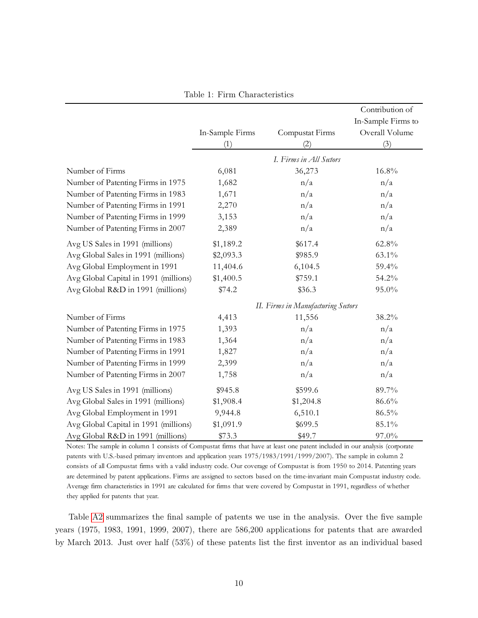|                                       |                 |                                    | Contribution of    |
|---------------------------------------|-----------------|------------------------------------|--------------------|
|                                       |                 |                                    | In-Sample Firms to |
|                                       | In-Sample Firms | Compustat Firms                    | Overall Volume     |
|                                       | (1)             | (2)                                | (3)                |
|                                       |                 | I. Firms in All Sectors            |                    |
| Number of Firms                       | 6,081           | 36,273                             | 16.8%              |
| Number of Patenting Firms in 1975     | 1,682           | n/a                                | n/a                |
| Number of Patenting Firms in 1983     | 1,671           | n/a                                | n/a                |
| Number of Patenting Firms in 1991     | 2,270           | n/a                                | n/a                |
| Number of Patenting Firms in 1999     | 3,153           | n/a                                | n/a                |
| Number of Patenting Firms in 2007     | 2,389           | n/a                                | n/a                |
| Avg US Sales in 1991 (millions)       | \$1,189.2       | \$617.4                            | 62.8%              |
| Avg Global Sales in 1991 (millions)   | \$2,093.3       | \$985.9                            | 63.1%              |
| Avg Global Employment in 1991         | 11,404.6        | 6,104.5                            | 59.4%              |
| Avg Global Capital in 1991 (millions) | \$1,400.5       | \$759.1                            | 54.2%              |
| Avg Global R&D in 1991 (millions)     | \$74.2          | \$36.3                             | 95.0%              |
|                                       |                 | II. Firms in Manufacturing Sectors |                    |
| Number of Firms                       | 4,413           | 11,556                             | 38.2%              |
| Number of Patenting Firms in 1975     | 1,393           | n/a                                | n/a                |
| Number of Patenting Firms in 1983     | 1,364           | n/a                                | n/a                |
| Number of Patenting Firms in 1991     | 1,827           | n/a                                | n/a                |
| Number of Patenting Firms in 1999     | 2,399           | n/a                                | n/a                |
| Number of Patenting Firms in 2007     | 1,758           | n/a                                | n/a                |
| Avg US Sales in 1991 (millions)       | \$945.8         | \$599.6                            | 89.7%              |
| Avg Global Sales in 1991 (millions)   | \$1,908.4       | \$1,204.8                          | 86.6%              |
| Avg Global Employment in 1991         | 9,944.8         | 6,510.1                            | 86.5%              |
| Avg Global Capital in 1991 (millions) | \$1,091.9       | \$699.5                            | 85.1%              |
| Avg Global R&D in 1991 (millions)     | \$73.3          | \$49.7                             | 97.0%              |

<span id="page-10-0"></span>Table 1: Firm Characteristics

Notes: The sample in column 1 consists of Compustat firms that have at least one patent included in our analysis (corporate patents with U.S.-based primary inventors and application years 1975/1983/1991/1999/2007). The sample in column 2 consists of all Compustat firms with a valid industry code. Our coverage of Compustat is from 1950 to 2014. Patenting years are determined by patent applications. Firms are assigned to sectors based on the time-invariant main Compustat industry code. Average firm characteristics in 1991 are calculated for firms that were covered by Compustat in 1991, regardless of whether they applied for patents that year.

Table [A2](#page-40-0) summarizes the final sample of patents we use in the analysis. Over the five sample years (1975, 1983, 1991, 1999, 2007), there are 586,200 applications for patents that are awarded by March 2013. Just over half (53%) of these patents list the first inventor as an individual based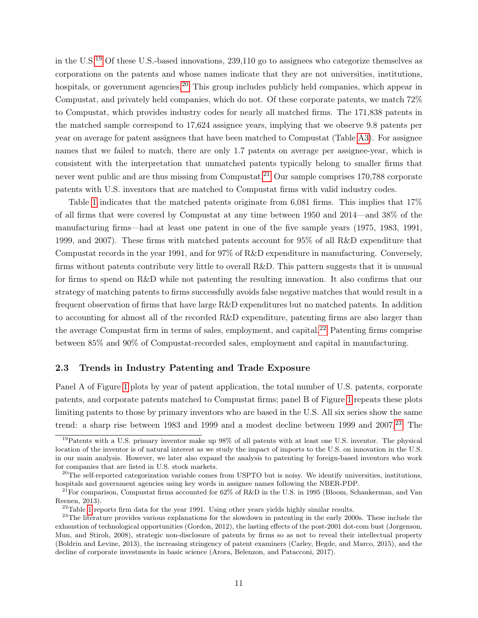in the U.S.[19](#page-11-0) Of these U.S.-based innovations, 239,110 go to assignees who categorize themselves as corporations on the patents and whose names indicate that they are not universities, institutions, hospitals, or government agencies.<sup>[20](#page-11-1)</sup> This group includes publicly held companies, which appear in Compustat, and privately held companies, which do not. Of these corporate patents, we match 72% to Compustat, which provides industry codes for nearly all matched firms. The 171,838 patents in the matched sample correspond to 17,624 assignee years, implying that we observe 9.8 patents per year on average for patent assignees that have been matched to Compustat (Table [A3\)](#page-40-1). For assignee names that we failed to match, there are only 1.7 patents on average per assignee-year, which is consistent with the interpretation that unmatched patents typically belong to smaller firms that never went public and are thus missing from Compustat.<sup>[21](#page-11-2)</sup> Our sample comprises 170,788 corporate patents with U.S. inventors that are matched to Compustat firms with valid industry codes.

Table [1](#page-10-0) indicates that the matched patents originate from 6,081 firms. This implies that 17% of all firms that were covered by Compustat at any time between 1950 and 2014—and 38% of the manufacturing firms—had at least one patent in one of the five sample years (1975, 1983, 1991, 1999, and 2007). These firms with matched patents account for 95% of all R&D expenditure that Compustat records in the year 1991, and for 97% of R&D expenditure in manufacturing. Conversely, firms without patents contribute very little to overall R&D. This pattern suggests that it is unusual for firms to spend on R&D while not patenting the resulting innovation. It also confirms that our strategy of matching patents to firms successfully avoids false negative matches that would result in a frequent observation of firms that have large R&D expenditures but no matched patents. In addition to accounting for almost all of the recorded R&D expenditure, patenting firms are also larger than the average Compustat firm in terms of sales, employment, and capital.<sup>[22](#page-11-3)</sup> Patenting firms comprise between 85% and 90% of Compustat-recorded sales, employment and capital in manufacturing.

#### 2.3 Trends in Industry Patenting and Trade Exposure

Panel A of Figure [1](#page-12-0) plots by year of patent application, the total number of U.S. patents, corporate patents, and corporate patents matched to Compustat firms; panel B of Figure [1](#page-12-0) repeats these plots limiting patents to those by primary inventors who are based in the U.S. All six series show the same trend: a sharp rise between 1983 and 1999 and a modest decline between 1999 and  $2007.<sup>23</sup>$  $2007.<sup>23</sup>$  $2007.<sup>23</sup>$  The

<span id="page-11-0"></span><sup>&</sup>lt;sup>19</sup>Patents with a U.S. primary inventor make up 98% of all patents with at least one U.S. inventor. The physical location of the inventor is of natural interest as we study the impact of imports to the U.S. on innovation in the U.S. in our main analysis. However, we later also expand the analysis to patenting by foreign-based inventors who work for companies that are listed in U.S. stock markets.

<span id="page-11-1"></span> $^{20}$ The self-reported categorization variable comes from USPTO but is noisy. We identify universities, institutions, hospitals and government agencies using key words in assignee names following the NBER-PDP.

<span id="page-11-2"></span> $^{21}$ For comparison, Compustat firms accounted for 62% of R&D in the U.S. in 1995 (Bloom, Schankerman, and Van Reenen, 2013).

<span id="page-11-4"></span><span id="page-11-3"></span> $^{22}$ Table [1](#page-10-0) reports firm data for the year 1991. Using other years yields highly similar results.

<sup>&</sup>lt;sup>23</sup>The literature provides various explanations for the slowdown in patenting in the early 2000s. These include the exhaustion of technological opportunities (Gordon, 2012), the lasting effects of the post-2001 dot-com bust (Jorgenson, Mun, and Stiroh, 2008), strategic non-disclosure of patents by firms so as not to reveal their intellectual property (Boldrin and Levine, 2013), the increasing stringency of patent examiners (Carley, Hegde, and Marco, 2015), and the decline of corporate investments in basic science (Arora, Belenzon, and Patacconi, 2017).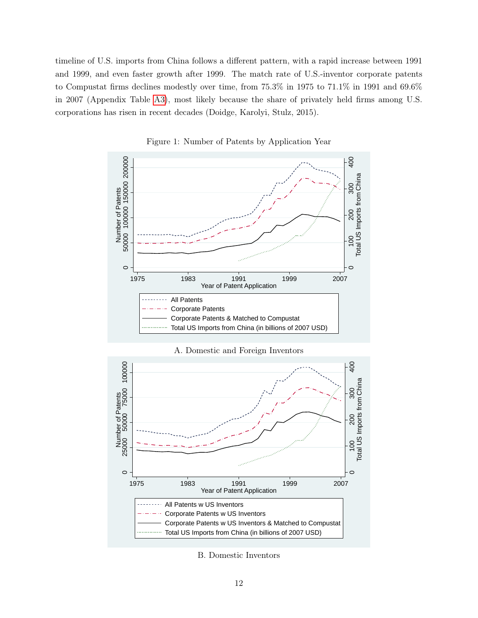timeline of U.S. imports from China follows a different pattern, with a rapid increase between 1991 and 1999, and even faster growth after 1999. The match rate of U.S.-inventor corporate patents to Compustat firms declines modestly over time, from 75.3% in 1975 to 71.1% in 1991 and 69.6% in 2007 (Appendix Table [A3\)](#page-40-1), most likely because the share of privately held firms among U.S. corporations has risen in recent decades (Doidge, Karolyi, Stulz, 2015).



<span id="page-12-0"></span>Figure 1: Number of Patents by Application Year





B. Domestic Inventors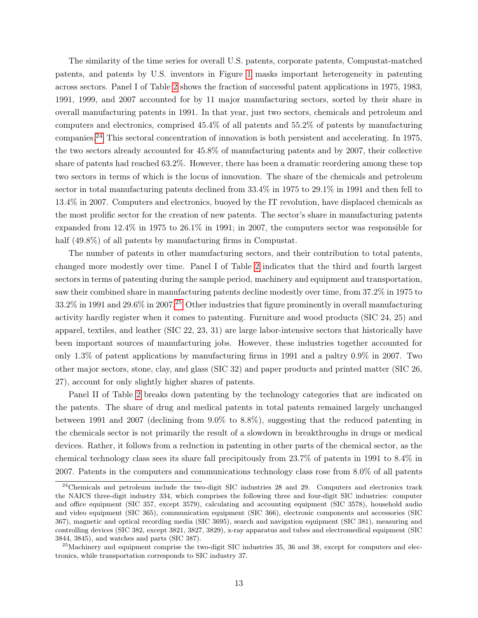The similarity of the time series for overall U.S. patents, corporate patents, Compustat-matched patents, and patents by U.S. inventors in Figure [1](#page-12-0) masks important heterogeneity in patenting across sectors. Panel I of Table [2](#page-14-0) shows the fraction of successful patent applications in 1975, 1983, 1991, 1999, and 2007 accounted for by 11 major manufacturing sectors, sorted by their share in overall manufacturing patents in 1991. In that year, just two sectors, chemicals and petroleum and computers and electronics, comprised 45.4% of all patents and 55.2% of patents by manufacturing companies.[24](#page-13-0) This sectoral concentration of innovation is both persistent and accelerating. In 1975, the two sectors already accounted for 45.8% of manufacturing patents and by 2007, their collective share of patents had reached 63.2%. However, there has been a dramatic reordering among these top two sectors in terms of which is the locus of innovation. The share of the chemicals and petroleum sector in total manufacturing patents declined from 33.4% in 1975 to 29.1% in 1991 and then fell to 13.4% in 2007. Computers and electronics, buoyed by the IT revolution, have displaced chemicals as the most prolific sector for the creation of new patents. The sector's share in manufacturing patents expanded from 12.4% in 1975 to 26.1% in 1991; in 2007, the computers sector was responsible for half  $(49.8\%)$  of all patents by manufacturing firms in Compustat.

The number of patents in other manufacturing sectors, and their contribution to total patents, changed more modestly over time. Panel I of Table [2](#page-14-0) indicates that the third and fourth largest sectors in terms of patenting during the sample period, machinery and equipment and transportation, saw their combined share in manufacturing patents decline modestly over time, from 37.2% in 1975 to  $33.2\%$  in 1991 and  $29.6\%$  in 2007.<sup>[25](#page-13-1)</sup> Other industries that figure prominently in overall manufacturing activity hardly register when it comes to patenting. Furniture and wood products (SIC 24, 25) and apparel, textiles, and leather (SIC 22, 23, 31) are large labor-intensive sectors that historically have been important sources of manufacturing jobs. However, these industries together accounted for only 1.3% of patent applications by manufacturing firms in 1991 and a paltry 0.9% in 2007. Two other major sectors, stone, clay, and glass (SIC 32) and paper products and printed matter (SIC 26, 27), account for only slightly higher shares of patents.

Panel II of Table [2](#page-14-0) breaks down patenting by the technology categories that are indicated on the patents. The share of drug and medical patents in total patents remained largely unchanged between 1991 and 2007 (declining from 9.0% to 8.8%), suggesting that the reduced patenting in the chemicals sector is not primarily the result of a slowdown in breakthroughs in drugs or medical devices. Rather, it follows from a reduction in patenting in other parts of the chemical sector, as the chemical technology class sees its share fall precipitously from 23.7% of patents in 1991 to 8.4% in 2007. Patents in the computers and communications technology class rose from 8.0% of all patents

<span id="page-13-0"></span> $24$ Chemicals and petroleum include the two-digit SIC industries 28 and 29. Computers and electronics track the NAICS three-digit industry 334, which comprises the following three and four-digit SIC industries: computer and office equipment (SIC 357, except 3579), calculating and accounting equipment (SIC 3578), household audio and video equipment (SIC 365), communication equipment (SIC 366), electronic components and accessories (SIC 367), magnetic and optical recording media (SIC 3695), search and navigation equipment (SIC 381), measuring and controlling devices (SIC 382, except 3821, 3827, 3829), x-ray apparatus and tubes and electromedical equipment (SIC 3844, 3845), and watches and parts (SIC 387).

<span id="page-13-1"></span> $^{25}$ Machinery and equipment comprise the two-digit SIC industries 35, 36 and 38, except for computers and electronics, while transportation corresponds to SIC industry 37.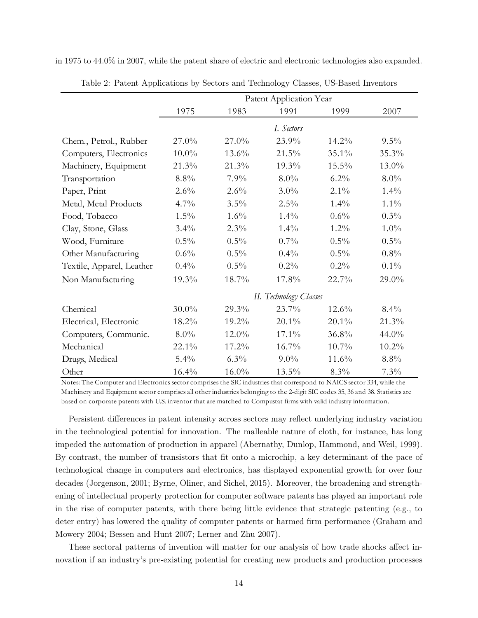in 1975 to 44.0% in 2007, while the patent share of electric and electronic technologies also expanded.

|                           |          |          | Patent Application Year |          |          |
|---------------------------|----------|----------|-------------------------|----------|----------|
|                           | 1975     | 1983     | 1991                    | 1999     | 2007     |
|                           |          |          | I. Sectors              |          |          |
| Chem., Petrol., Rubber    | 27.0%    | 27.0%    | 23.9%                   | 14.2%    | $9.5\%$  |
| Computers, Electronics    | $10.0\%$ | 13.6%    | 21.5%                   | 35.1%    | 35.3%    |
| Machinery, Equipment      | 21.3%    | 21.3%    | 19.3%                   | $15.5\%$ | 13.0%    |
| Transportation            | 8.8%     | 7.9%     | $8.0\%$                 | $6.2\%$  | $8.0\%$  |
| Paper, Print              | 2.6%     | $2.6\%$  | 3.0%                    | $2.1\%$  | $1.4\%$  |
| Metal, Metal Products     | 4.7%     | $3.5\%$  | $2.5\%$                 | $1.4\%$  | $1.1\%$  |
| Food, Tobacco             | $1.5\%$  | $1.6\%$  | $1.4\%$                 | 0.6%     | $0.3\%$  |
| Clay, Stone, Glass        | $3.4\%$  | $2.3\%$  | $1.4\%$                 | $1.2\%$  | $1.0\%$  |
| Wood, Furniture           | $0.5\%$  | $0.5\%$  | 0.7%                    | $0.5\%$  | $0.5\%$  |
| Other Manufacturing       | $0.6\%$  | $0.5\%$  | $0.4\%$                 | $0.5\%$  | $0.8\%$  |
| Textile, Apparel, Leather | $0.4\%$  | $0.5\%$  | 0.2%                    | 0.2%     | $0.1\%$  |
| Non Manufacturing         | 19.3%    | 18.7%    | 17.8%                   | 22.7%    | 29.0%    |
|                           |          |          | II. Technology Classes  |          |          |
| Chemical                  | $30.0\%$ | 29.3%    | 23.7%                   | $12.6\%$ | $8.4\%$  |
| Electrical, Electronic    | 18.2%    | 19.2%    | $20.1\%$                | $20.1\%$ | 21.3%    |
| Computers, Communic.      | $8.0\%$  | 12.0%    | 17.1%                   | 36.8%    | 44.0%    |
| Mechanical                | 22.1%    | 17.2%    | 16.7%                   | 10.7%    | $10.2\%$ |
| Drugs, Medical            | $5.4\%$  | $6.3\%$  | $9.0\%$                 | 11.6%    | 8.8%     |
| Other                     | 16.4%    | $16.0\%$ | 13.5%                   | $8.3\%$  | 7.3%     |

<span id="page-14-0"></span>Table 2: Patent Applications by Sectors and Technology Classes, US-Based Inventors

Notes: The Computer and Electronics sector comprises the SIC industries that correspond to NAICS sector 334, while the Machinery and Equipment sector comprises all other industries belonging to the 2-digit SIC codes 35, 36 and 38. Statistics are based on corporate patents with U.S. inventor that are matched to Compustat firms with valid industry information.

Persistent differences in patent intensity across sectors may reflect underlying industry variation in the technological potential for innovation. The malleable nature of cloth, for instance, has long impeded the automation of production in apparel (Abernathy, Dunlop, Hammond, and Weil, 1999). By contrast, the number of transistors that fit onto a microchip, a key determinant of the pace of technological change in computers and electronics, has displayed exponential growth for over four decades (Jorgenson, 2001; Byrne, Oliner, and Sichel, 2015). Moreover, the broadening and strengthening of intellectual property protection for computer software patents has played an important role in the rise of computer patents, with there being little evidence that strategic patenting (e.g., to deter entry) has lowered the quality of computer patents or harmed firm performance (Graham and Mowery 2004; Bessen and Hunt 2007; Lerner and Zhu 2007).

These sectoral patterns of invention will matter for our analysis of how trade shocks affect innovation if an industry's pre-existing potential for creating new products and production processes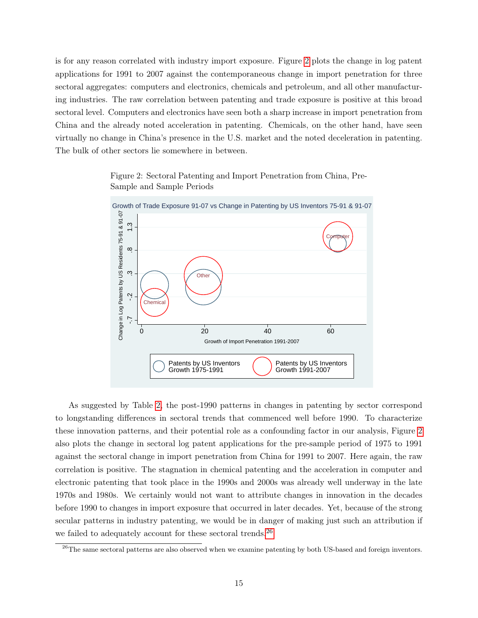is for any reason correlated with industry import exposure. Figure [2](#page-15-0) plots the change in log patent applications for 1991 to 2007 against the contemporaneous change in import penetration for three sectoral aggregates: computers and electronics, chemicals and petroleum, and all other manufacturing industries. The raw correlation between patenting and trade exposure is positive at this broad sectoral level. Computers and electronics have seen both a sharp increase in import penetration from China and the already noted acceleration in patenting. Chemicals, on the other hand, have seen virtually no change in China's presence in the U.S. market and the noted deceleration in patenting. The bulk of other sectors lie somewhere in between.

<span id="page-15-0"></span>Figure 2: Sectoral Patenting and Import Penetration from China, Pre-Sample and Sample Periods



As suggested by Table [2,](#page-14-0) the post-1990 patterns in changes in patenting by sector correspond to longstanding differences in sectoral trends that commenced well before 1990. To characterize these innovation patterns, and their potential role as a confounding factor in our analysis, Figure [2](#page-15-0) also plots the change in sectoral log patent applications for the pre-sample period of 1975 to 1991 against the sectoral change in import penetration from China for 1991 to 2007. Here again, the raw correlation is positive. The stagnation in chemical patenting and the acceleration in computer and electronic patenting that took place in the 1990s and 2000s was already well underway in the late 1970s and 1980s. We certainly would not want to attribute changes in innovation in the decades before 1990 to changes in import exposure that occurred in later decades. Yet, because of the strong secular patterns in industry patenting, we would be in danger of making just such an attribution if we failed to adequately account for these sectoral trends.<sup>[26](#page-15-1)</sup>

<span id="page-15-1"></span> $^{26}$ The same sectoral patterns are also observed when we examine patenting by both US-based and foreign inventors.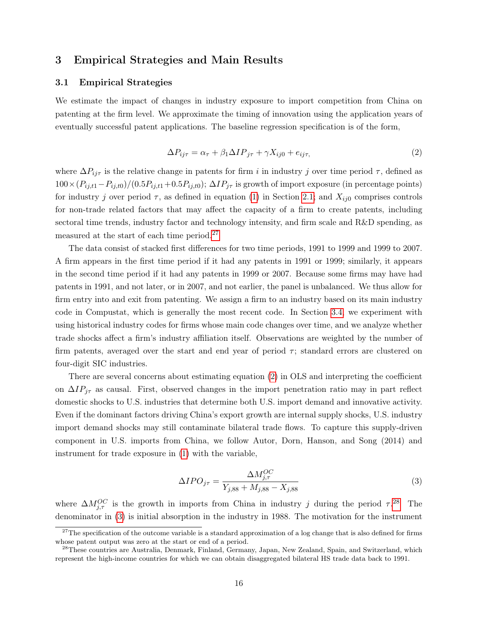## 3 Empirical Strategies and Main Results

#### <span id="page-16-4"></span>3.1 Empirical Strategies

We estimate the impact of changes in industry exposure to import competition from China on patenting at the firm level. We approximate the timing of innovation using the application years of eventually successful patent applications. The baseline regression specification is of the form,

<span id="page-16-1"></span>
$$
\Delta P_{ij\tau} = \alpha_{\tau} + \beta_1 \Delta I P_{j\tau} + \gamma X_{ij0} + e_{ij\tau},\tag{2}
$$

where  $\Delta P_{ij\tau}$  is the relative change in patents for firm i in industry j over time period  $\tau$ , defined as  $100 \times (P_{ij,t1}-P_{ij,t0})/(0.5P_{ij,t1}+0.5P_{ij,t0})$ ;  $\Delta IP_{j\tau}$  is growth of import exposure (in percentage points) for industry j over period  $\tau$ , as defined in equation [\(1\)](#page-6-2) in Section [2.1;](#page-6-3) and  $X_{ij0}$  comprises controls for non-trade related factors that may affect the capacity of a firm to create patents, including sectoral time trends, industry factor and technology intensity, and firm scale and R&D spending, as measured at the start of each time period.<sup>[27](#page-16-0)</sup>

The data consist of stacked first differences for two time periods, 1991 to 1999 and 1999 to 2007. A firm appears in the first time period if it had any patents in 1991 or 1999; similarly, it appears in the second time period if it had any patents in 1999 or 2007. Because some firms may have had patents in 1991, and not later, or in 2007, and not earlier, the panel is unbalanced. We thus allow for firm entry into and exit from patenting. We assign a firm to an industry based on its main industry code in Compustat, which is generally the most recent code. In Section [3.4,](#page-24-0) we experiment with using historical industry codes for firms whose main code changes over time, and we analyze whether trade shocks affect a firm's industry affiliation itself. Observations are weighted by the number of firm patents, averaged over the start and end year of period  $\tau$ ; standard errors are clustered on four-digit SIC industries.

There are several concerns about estimating equation [\(2\)](#page-16-1) in OLS and interpreting the coefficient on  $\Delta IP_{j\tau}$  as causal. First, observed changes in the import penetration ratio may in part reflect domestic shocks to U.S. industries that determine both U.S. import demand and innovative activity. Even if the dominant factors driving China's export growth are internal supply shocks, U.S. industry import demand shocks may still contaminate bilateral trade flows. To capture this supply-driven component in U.S. imports from China, we follow Autor, Dorn, Hanson, and Song (2014) and instrument for trade exposure in [\(1\)](#page-6-2) with the variable,

<span id="page-16-3"></span>
$$
\Delta IPO_{j\tau} = \frac{\Delta M_{j,\tau}^{OC}}{Y_{j,88} + M_{j,88} - X_{j,88}}
$$
\n(3)

where  $\Delta M_{j,\tau}^{OC}$  is the growth in imports from China in industry j during the period  $\tau$ .<sup>[28](#page-16-2)</sup> The denominator in [\(3\)](#page-16-3) is initial absorption in the industry in 1988. The motivation for the instrument

<span id="page-16-0"></span> $27$ The specification of the outcome variable is a standard approximation of a log change that is also defined for firms whose patent output was zero at the start or end of a period.

<span id="page-16-2"></span><sup>&</sup>lt;sup>28</sup>These countries are Australia, Denmark, Finland, Germany, Japan, New Zealand, Spain, and Switzerland, which represent the high-income countries for which we can obtain disaggregated bilateral HS trade data back to 1991.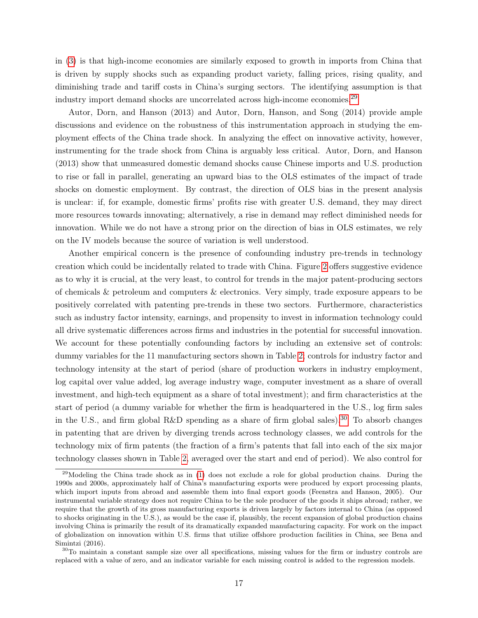in [\(3\)](#page-16-3) is that high-income economies are similarly exposed to growth in imports from China that is driven by supply shocks such as expanding product variety, falling prices, rising quality, and diminishing trade and tariff costs in China's surging sectors. The identifying assumption is that industry import demand shocks are uncorrelated across high-income economies.<sup>[29](#page-17-0)</sup>

Autor, Dorn, and Hanson (2013) and Autor, Dorn, Hanson, and Song (2014) provide ample discussions and evidence on the robustness of this instrumentation approach in studying the employment effects of the China trade shock. In analyzing the effect on innovative activity, however, instrumenting for the trade shock from China is arguably less critical. Autor, Dorn, and Hanson (2013) show that unmeasured domestic demand shocks cause Chinese imports and U.S. production to rise or fall in parallel, generating an upward bias to the OLS estimates of the impact of trade shocks on domestic employment. By contrast, the direction of OLS bias in the present analysis is unclear: if, for example, domestic firms' profits rise with greater U.S. demand, they may direct more resources towards innovating; alternatively, a rise in demand may reflect diminished needs for innovation. While we do not have a strong prior on the direction of bias in OLS estimates, we rely on the IV models because the source of variation is well understood.

Another empirical concern is the presence of confounding industry pre-trends in technology creation which could be incidentally related to trade with China. Figure [2](#page-15-0) offers suggestive evidence as to why it is crucial, at the very least, to control for trends in the major patent-producing sectors of chemicals & petroleum and computers & electronics. Very simply, trade exposure appears to be positively correlated with patenting pre-trends in these two sectors. Furthermore, characteristics such as industry factor intensity, earnings, and propensity to invest in information technology could all drive systematic differences across firms and industries in the potential for successful innovation. We account for these potentially confounding factors by including an extensive set of controls: dummy variables for the 11 manufacturing sectors shown in Table [2;](#page-14-0) controls for industry factor and technology intensity at the start of period (share of production workers in industry employment, log capital over value added, log average industry wage, computer investment as a share of overall investment, and high-tech equipment as a share of total investment); and firm characteristics at the start of period (a dummy variable for whether the firm is headquartered in the U.S., log firm sales in the U.S., and firm global R&D spending as a share of firm global sales).<sup>[30](#page-17-1)</sup> To absorb changes in patenting that are driven by diverging trends across technology classes, we add controls for the technology mix of firm patents (the fraction of a firm's patents that fall into each of the six major technology classes shown in Table [2,](#page-14-0) averaged over the start and end of period). We also control for

<span id="page-17-0"></span><sup>&</sup>lt;sup>29</sup>Modeling the China trade shock as in [\(1\)](#page-6-2) does not exclude a role for global production chains. During the 1990s and 2000s, approximately half of China's manufacturing exports were produced by export processing plants, which import inputs from abroad and assemble them into final export goods (Feenstra and Hanson, 2005). Our instrumental variable strategy does not require China to be the sole producer of the goods it ships abroad; rather, we require that the growth of its gross manufacturing exports is driven largely by factors internal to China (as opposed to shocks originating in the U.S.), as would be the case if, plausibly, the recent expansion of global production chains involving China is primarily the result of its dramatically expanded manufacturing capacity. For work on the impact of globalization on innovation within U.S. firms that utilize offshore production facilities in China, see Bena and Simintzi (2016).

<span id="page-17-1"></span><sup>30</sup>To maintain a constant sample size over all specifications, missing values for the firm or industry controls are replaced with a value of zero, and an indicator variable for each missing control is added to the regression models.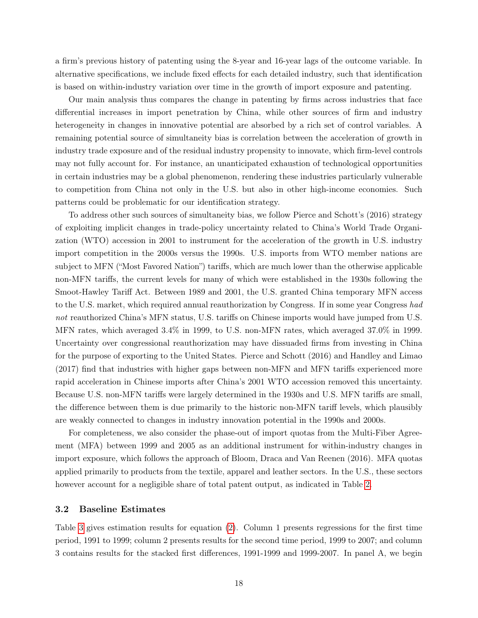a firm's previous history of patenting using the 8-year and 16-year lags of the outcome variable. In alternative specifications, we include fixed effects for each detailed industry, such that identification is based on within-industry variation over time in the growth of import exposure and patenting.

Our main analysis thus compares the change in patenting by firms across industries that face differential increases in import penetration by China, while other sources of firm and industry heterogeneity in changes in innovative potential are absorbed by a rich set of control variables. A remaining potential source of simultaneity bias is correlation between the acceleration of growth in industry trade exposure and of the residual industry propensity to innovate, which firm-level controls may not fully account for. For instance, an unanticipated exhaustion of technological opportunities in certain industries may be a global phenomenon, rendering these industries particularly vulnerable to competition from China not only in the U.S. but also in other high-income economies. Such patterns could be problematic for our identification strategy.

To address other such sources of simultaneity bias, we follow Pierce and Schott's (2016) strategy of exploiting implicit changes in trade-policy uncertainty related to China's World Trade Organization (WTO) accession in 2001 to instrument for the acceleration of the growth in U.S. industry import competition in the 2000s versus the 1990s. U.S. imports from WTO member nations are subject to MFN ("Most Favored Nation") tariffs, which are much lower than the otherwise applicable non-MFN tariffs, the current levels for many of which were established in the 1930s following the Smoot-Hawley Tariff Act. Between 1989 and 2001, the U.S. granted China temporary MFN access to the U.S. market, which required annual reauthorization by Congress. If in some year Congress had not reauthorized China's MFN status, U.S. tariffs on Chinese imports would have jumped from U.S. MFN rates, which averaged 3.4% in 1999, to U.S. non-MFN rates, which averaged 37.0% in 1999. Uncertainty over congressional reauthorization may have dissuaded firms from investing in China for the purpose of exporting to the United States. Pierce and Schott (2016) and Handley and Limao (2017) find that industries with higher gaps between non-MFN and MFN tariffs experienced more rapid acceleration in Chinese imports after China's 2001 WTO accession removed this uncertainty. Because U.S. non-MFN tariffs were largely determined in the 1930s and U.S. MFN tariffs are small, the difference between them is due primarily to the historic non-MFN tariff levels, which plausibly are weakly connected to changes in industry innovation potential in the 1990s and 2000s.

For completeness, we also consider the phase-out of import quotas from the Multi-Fiber Agreement (MFA) between 1999 and 2005 as an additional instrument for within-industry changes in import exposure, which follows the approach of Bloom, Draca and Van Reenen (2016). MFA quotas applied primarily to products from the textile, apparel and leather sectors. In the U.S., these sectors however account for a negligible share of total patent output, as indicated in Table [2.](#page-14-0)

#### 3.2 Baseline Estimates

Table [3](#page-20-0) gives estimation results for equation [\(2\)](#page-16-1). Column 1 presents regressions for the first time period, 1991 to 1999; column 2 presents results for the second time period, 1999 to 2007; and column 3 contains results for the stacked first differences, 1991-1999 and 1999-2007. In panel A, we begin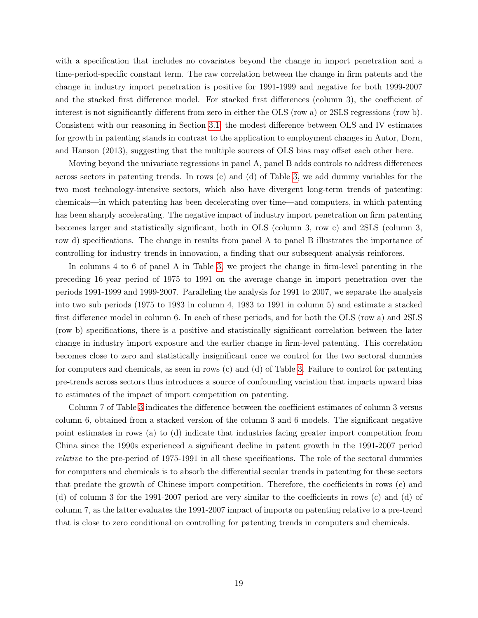with a specification that includes no covariates beyond the change in import penetration and a time-period-specific constant term. The raw correlation between the change in firm patents and the change in industry import penetration is positive for 1991-1999 and negative for both 1999-2007 and the stacked first difference model. For stacked first differences (column 3), the coefficient of interest is not significantly different from zero in either the OLS (row a) or 2SLS regressions (row b). Consistent with our reasoning in Section [3.1,](#page-16-4) the modest difference between OLS and IV estimates for growth in patenting stands in contrast to the application to employment changes in Autor, Dorn, and Hanson (2013), suggesting that the multiple sources of OLS bias may offset each other here.

Moving beyond the univariate regressions in panel A, panel B adds controls to address differences across sectors in patenting trends. In rows (c) and (d) of Table [3,](#page-20-0) we add dummy variables for the two most technology-intensive sectors, which also have divergent long-term trends of patenting: chemicals—in which patenting has been decelerating over time—and computers, in which patenting has been sharply accelerating. The negative impact of industry import penetration on firm patenting becomes larger and statistically significant, both in OLS (column 3, row c) and 2SLS (column 3, row d) specifications. The change in results from panel A to panel B illustrates the importance of controlling for industry trends in innovation, a finding that our subsequent analysis reinforces.

In columns 4 to 6 of panel A in Table [3,](#page-20-0) we project the change in firm-level patenting in the preceding 16-year period of 1975 to 1991 on the average change in import penetration over the periods 1991-1999 and 1999-2007. Paralleling the analysis for 1991 to 2007, we separate the analysis into two sub periods (1975 to 1983 in column 4, 1983 to 1991 in column 5) and estimate a stacked first difference model in column 6. In each of these periods, and for both the OLS (row a) and 2SLS (row b) specifications, there is a positive and statistically significant correlation between the later change in industry import exposure and the earlier change in firm-level patenting. This correlation becomes close to zero and statistically insignificant once we control for the two sectoral dummies for computers and chemicals, as seen in rows (c) and (d) of Table [3.](#page-20-0) Failure to control for patenting pre-trends across sectors thus introduces a source of confounding variation that imparts upward bias to estimates of the impact of import competition on patenting.

Column 7 of Table [3](#page-20-0) indicates the difference between the coefficient estimates of column 3 versus column 6, obtained from a stacked version of the column 3 and 6 models. The significant negative point estimates in rows (a) to (d) indicate that industries facing greater import competition from China since the 1990s experienced a significant decline in patent growth in the 1991-2007 period relative to the pre-period of 1975-1991 in all these specifications. The role of the sectoral dummies for computers and chemicals is to absorb the differential secular trends in patenting for these sectors that predate the growth of Chinese import competition. Therefore, the coefficients in rows (c) and (d) of column 3 for the 1991-2007 period are very similar to the coefficients in rows (c) and (d) of column 7, as the latter evaluates the 1991-2007 impact of imports on patenting relative to a pre-trend that is close to zero conditional on controlling for patenting trends in computers and chemicals.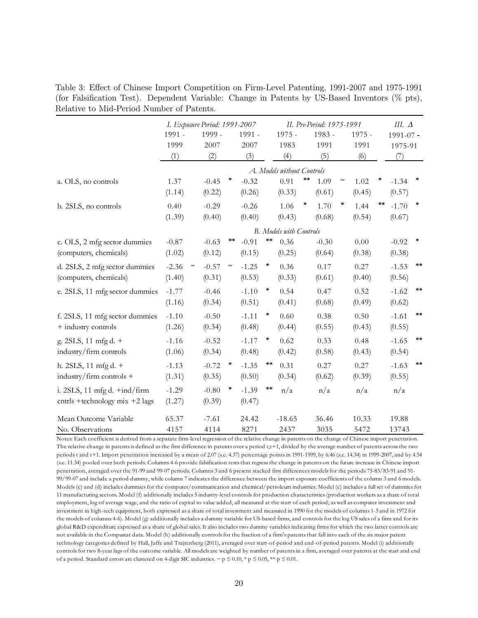<span id="page-20-0"></span>Table 3: Effect of Chinese Import Competition on Firm-Level Patenting, 1991-2007 and 1975-1991 (for Falsification Test). Dependent Variable: Change in Patents by US-Based Inventors (% pts), Relative to Mid-Period Number of Patents.

|                                                        | I. Exposure Period: 1991-2007 |         |                           |         |         | II. Pre-Period: 1975-1991      |        |         |                           |          |                 | III. $\Delta$ |                 |
|--------------------------------------------------------|-------------------------------|---------|---------------------------|---------|---------|--------------------------------|--------|---------|---------------------------|----------|-----------------|---------------|-----------------|
|                                                        | 1991 -                        | 1999 -  |                           | 1991 -  |         | $1975 -$                       |        | 1983 -  |                           | $1975 -$ |                 | $1991 - 07 -$ |                 |
|                                                        | 1999                          | 2007    |                           | 2007    |         | 1983                           |        | 1991    |                           | 1991     |                 | 1975-91       |                 |
|                                                        | (1)                           | (2)     |                           | (3)     |         | (4)                            |        | (5)     |                           | (6)      |                 | (7)           |                 |
|                                                        |                               |         |                           |         |         | A. Models without Controls     |        |         |                           |          |                 |               |                 |
| a. OLS, no controls                                    | 1.37                          | $-0.45$ | $\ast$                    | $-0.32$ |         | 0.91                           | **     | 1.09    | $\widetilde{\phantom{m}}$ | 1.02     |                 | $-1.34$       | $\ast$          |
|                                                        | (1.14)                        | (0.22)  |                           | (0.26)  |         | (0.33)                         |        | (0.61)  |                           | (0.45)   |                 | (0.57)        |                 |
| b. 2SLS, no controls                                   | 0.40                          | $-0.29$ |                           | $-0.26$ |         | 1.06                           | $\ast$ | 1.70    | $\ast$                    | 1.44     | $\star$ $\star$ | $-1.70$       | $\ast$          |
|                                                        | (1.39)                        | (0.40)  |                           | (0.40)  |         | (0.43)                         |        | (0.68)  |                           | (0.54)   |                 | (0.67)        |                 |
|                                                        |                               |         |                           |         |         | <b>B.</b> Models with Controls |        |         |                           |          |                 |               |                 |
| c. OLS, 2 mfg sector dummies                           | $-0.87$                       | $-0.63$ | $***$                     | $-0.91$ | $***$   | 0.36                           |        | $-0.30$ |                           | 0.00     |                 | $-0.92$       | $\ast$          |
| (computers, chemicals)                                 | (1.02)                        | (0.12)  |                           | (0.15)  |         | (0.25)                         |        | (0.64)  |                           | (0.38)   |                 | (0.38)        |                 |
| d. 2SLS, 2 mfg sector dummies                          | $-2.36$                       | $-0.57$ | $\widetilde{\phantom{m}}$ | $-1.25$ | $\star$ | 0.36                           |        | 0.17    |                           | 0.27     |                 | $-1.53$       | $\star$ $\star$ |
| (computers, chemicals)                                 | (1.40)                        | (0.31)  |                           | (0.53)  |         | (0.33)                         |        | (0.61)  |                           | (0.40)   |                 | (0.56)        |                 |
| e. 2SLS, 11 mfg sector dummies                         | $-1.77$                       | $-0.46$ |                           | $-1.10$ | $\ast$  | 0.54                           |        | 0.47    |                           | 0.52     |                 | $-1.62$       | $\star$ $\star$ |
|                                                        | (1.16)                        | (0.34)  |                           | (0.51)  |         | (0.41)                         |        | (0.68)  |                           | (0.49)   |                 | (0.62)        |                 |
| f. 2SLS, 11 mfg sector dummies                         | $-1.10$                       | $-0.50$ |                           | $-1.11$ | $\ast$  | 0.60                           |        | 0.38    |                           | 0.50     |                 | $-1.61$       | $\star$ $\star$ |
| + industry controls                                    | (1.26)                        | (0.34)  |                           | (0.48)  |         | (0.44)                         |        | (0.55)  |                           | (0.43)   |                 | (0.55)        |                 |
| g. 2SLS, 11 mfg d. +                                   | $-1.16$                       | $-0.52$ |                           | $-1.17$ | $\ast$  | 0.62                           |        | 0.33    |                           | 0.48     |                 | $-1.65$       | $\ast$ $\ast$   |
| industry/firm controls                                 | (1.06)                        | (0.34)  |                           | (0.48)  |         | (0.42)                         |        | (0.58)  |                           | (0.43)   |                 | (0.54)        |                 |
| h. 2SLS, 11 mfg d. +                                   | $-1.13$                       | $-0.72$ | $\star$                   | $-1.35$ | $***$   | 0.31                           |        | 0.27    |                           | 0.27     |                 | $-1.63$       | $\star$ $\star$ |
| industry/firm controls +                               | (1.31)                        | (0.35)  |                           | (0.50)  |         | (0.34)                         |        | (0.62)  |                           | (0.39)   |                 | (0.55)        |                 |
| i. 2SLS, $11 \text{ mfg d. } + \text{ind}/\text{firm}$ | $-1.29$                       | $-0.80$ | $\star$                   | $-1.39$ | $* *$   | n/a                            |        | n/a     |                           | n/a      |                 | n/a           |                 |
| cntrls +technology mix $+2$ lags                       | (1.27)                        | (0.39)  |                           | (0.47)  |         |                                |        |         |                           |          |                 |               |                 |
| Mean Outcome Variable                                  | 65.37                         | $-7.61$ |                           | 24.42   |         | $-18.65$                       |        | 36.46   |                           | 10.33    |                 | 19.88         |                 |
| No. Observations                                       | 4157                          | 4114    |                           | 8271    |         | 2437                           |        | 3035    |                           | 5472     |                 | 13743         |                 |

Notes: Each coefficient is derived from a separate firm-level regression of the relative change in patents on the change of Chinese import penetration. The relative change in patents is defined as the first difference in patents over a period t,t+1, divided by the average number of patents across the two periods t and t+1. Import penetration increased by a mean of 2.07 (s.e. 4.37) percentage points in 1991-1999, by 6.46 (s.e. 14.34) in 1999-2007, and by 4.54 (s.e. 11.34) pooled over both periods. Columns 4-6 provide falsification tests that regress the change in patents on the future increase in Chinese import penetration, averaged over the 91-99 and 99-07 periods. Columns 3 and 6 present stacked first differences models for the periods 75-83/83-91 and 91- 99/99-07 and include a period dummy, while column 7 indicates the difference between the import exposure coefficients of the column 3 and 6 models. Models (c) and (d) includes dummies for the computer/communication and chemical/petroleum industries. Model (e) includes a full set of dummies for 11 manufacturing sectors. Model (f) additionally includes 5 industry-level controls for production characteristics (production workers as a share of total employment, log of average wage, and the ratio of capital to value added, all measured at the start of each period; as well as computer investment and investment in high-tech equipment, both expressed as a share of total investment and measured in 1990 for the models of columns 1-3 and in 1972 for the models of columns 4-6). Model (g) additionally includes a dummy variable for US-based firms, and controls for the log US sales of a firm and for its global R&D expenditure expressed as a share of global sales. It also includes two dummy variables indicating firms for which the two latter controls are not available in the Compustat data. Model (h) additionally controls for the fraction of a firm's patents that fall into each of the six major patent technology categories defined by Hall, Jaffe and Trajtenberg (2011), averaged over start-of-period and end-of-period patents. Model (i) additionally controls for two 8-year lags of the outcome variable. All models are weighted by number of patents in a firm, averaged over patents at the start and end of a period. Standard errors are clustered on 4-digit SIC industries.  $\sim p \le 0.10$ , \* p  $\le 0.05$ , \*\* p  $\le 0.01$ .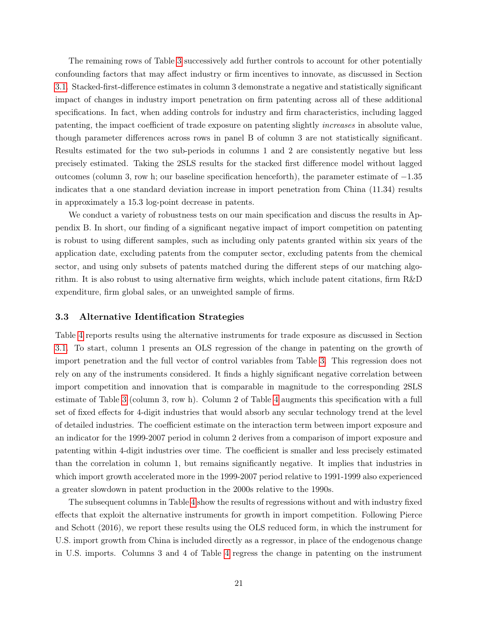The remaining rows of Table [3](#page-20-0) successively add further controls to account for other potentially confounding factors that may affect industry or firm incentives to innovate, as discussed in Section [3.1.](#page-16-4) Stacked-first-difference estimates in column 3 demonstrate a negative and statistically significant impact of changes in industry import penetration on firm patenting across all of these additional specifications. In fact, when adding controls for industry and firm characteristics, including lagged patenting, the impact coefficient of trade exposure on patenting slightly increases in absolute value, though parameter differences across rows in panel B of column 3 are not statistically significant. Results estimated for the two sub-periods in columns 1 and 2 are consistently negative but less precisely estimated. Taking the 2SLS results for the stacked first difference model without lagged outcomes (column 3, row h; our baseline specification henceforth), the parameter estimate of −1.35 indicates that a one standard deviation increase in import penetration from China (11.34) results in approximately a 15.3 log-point decrease in patents.

We conduct a variety of robustness tests on our main specification and discuss the results in Appendix B. In short, our finding of a significant negative impact of import competition on patenting is robust to using different samples, such as including only patents granted within six years of the application date, excluding patents from the computer sector, excluding patents from the chemical sector, and using only subsets of patents matched during the different steps of our matching algorithm. It is also robust to using alternative firm weights, which include patent citations, firm R&D expenditure, firm global sales, or an unweighted sample of firms.

#### 3.3 Alternative Identification Strategies

Table [4](#page-22-0) reports results using the alternative instruments for trade exposure as discussed in Section [3.1.](#page-16-4) To start, column 1 presents an OLS regression of the change in patenting on the growth of import penetration and the full vector of control variables from Table [3.](#page-20-0) This regression does not rely on any of the instruments considered. It finds a highly significant negative correlation between import competition and innovation that is comparable in magnitude to the corresponding 2SLS estimate of Table [3](#page-20-0) (column 3, row h). Column 2 of Table [4](#page-22-0) augments this specification with a full set of fixed effects for 4-digit industries that would absorb any secular technology trend at the level of detailed industries. The coefficient estimate on the interaction term between import exposure and an indicator for the 1999-2007 period in column 2 derives from a comparison of import exposure and patenting within 4-digit industries over time. The coefficient is smaller and less precisely estimated than the correlation in column 1, but remains significantly negative. It implies that industries in which import growth accelerated more in the 1999-2007 period relative to 1991-1999 also experienced a greater slowdown in patent production in the 2000s relative to the 1990s.

The subsequent columns in Table [4](#page-22-0) show the results of regressions without and with industry fixed effects that exploit the alternative instruments for growth in import competition. Following Pierce and Schott (2016), we report these results using the OLS reduced form, in which the instrument for U.S. import growth from China is included directly as a regressor, in place of the endogenous change in U.S. imports. Columns 3 and 4 of Table [4](#page-22-0) regress the change in patenting on the instrument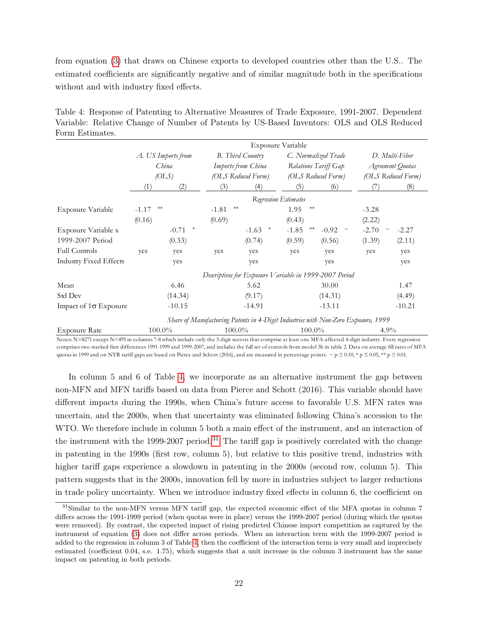from equation [\(3\)](#page-16-3) that draws on Chinese exports to developed countries other than the U.S.. The estimated coefficients are significantly negative and of similar magnitude both in the specifications without and with industry fixed effects.

<span id="page-22-0"></span>Table 4: Response of Patenting to Alternative Measures of Trade Exposure, 1991-2007. Dependent Variable: Relative Change of Number of Patents by US-Based Inventors: OLS and OLS Reduced Form Estimates.

|                               |         |                    |                 |                                                        | Exposure Variable    |                                                                                   |                    |                |
|-------------------------------|---------|--------------------|-----------------|--------------------------------------------------------|----------------------|-----------------------------------------------------------------------------------|--------------------|----------------|
|                               |         | A. US Imports from |                 | B. Third Country                                       |                      | C. Normalized Trade                                                               |                    | D. Multi-Fiber |
|                               |         | China              |                 | Imports from China                                     |                      | Relations Tariff Gap                                                              | Agreement Quotas   |                |
|                               |         | OLS                |                 | (OLS Reduced Form)                                     |                      | (OLS Reduced Form)                                                                | (OLS Reduced Form) |                |
|                               | (1)     | (2)                | (3)             | (4)                                                    | (5)                  | (6)                                                                               |                    | (8)            |
|                               |         |                    |                 |                                                        | Regression Estimates |                                                                                   |                    |                |
| Exposure Variable             | $-1.17$ | $**$               | $**$<br>$-1.81$ |                                                        | 1.95                 |                                                                                   | $-3.28$            |                |
|                               | (0.16)  |                    | (0.69)          |                                                        | (0.43)               |                                                                                   | (2.22)             |                |
| Exposure Variable x           |         | $\ast$<br>$-0.71$  |                 | $\ast$<br>$-1.63$                                      | $**$<br>$-1.85$      | $-0.92$ ~                                                                         | $-2.70$<br>$\sim$  | $-2.27$        |
| 1999-2007 Period              |         | (0.33)             |                 | (0.74)                                                 | (0.59)               | (0.56)                                                                            | (1.39)             | (2.11)         |
| <b>Full Controls</b>          | yes     | yes                | yes             | yes                                                    | yes                  | yes                                                                               | yes                | yes            |
| <b>Industry Fixed Effects</b> |         | yes                |                 | yes                                                    |                      | yes                                                                               |                    | yes            |
|                               |         |                    |                 | Descriptives for Exposure Variable in 1999-2007 Period |                      |                                                                                   |                    |                |
| Mean                          |         | 6.46               |                 | 5.62                                                   |                      | 30.00                                                                             |                    | 1.47           |
| Std Dev                       |         | (14.34)            |                 | (9.17)                                                 |                      | (14.31)                                                                           |                    | (4.49)         |
| Impact of $1\sigma$ Exposure  |         | $-10.15$           |                 | $-14.91$                                               |                      | $-13.11$                                                                          |                    | $-10.21$       |
|                               |         |                    |                 |                                                        |                      | Share of Manufacturing Patents in 4-Digit Industries with Non-Zero Exposure, 1999 |                    |                |
| Exposure Rate                 |         | 100.0%             |                 | $100.0\%$                                              | $100.0\%$            |                                                                                   | $4.9\%$            |                |

Notes: N=8271 except N=495 in columns 7-8 which include only the 3-digit sectors that comprise at least one MFA-affected 4-digit industry. Every regression comprises two stacked first differences 1991-1999 and 1999-2007, and includes the full set of controls from model 3h in table 2. Data on average fill rates of MFA quotas in 1999 and on NTR tariff gaps are based on Pierce and Schott (2016), and are measured in percentage points. ~ p  $\leq 0.10$ , \* p  $\leq 0.05$ , \*\* p  $\leq 0.01$ .

In column 5 and 6 of Table [4,](#page-22-0) we incorporate as an alternative instrument the gap between non-MFN and MFN tariffs based on data from Pierce and Schott (2016). This variable should have different impacts during the 1990s, when China's future access to favorable U.S. MFN rates was uncertain, and the 2000s, when that uncertainty was eliminated following China's accession to the WTO. We therefore include in column 5 both a main effect of the instrument, and an interaction of the instrument with the 1999-2007 period.<sup>[31](#page-22-1)</sup> The tariff gap is positively correlated with the change in patenting in the 1990s (first row, column 5), but relative to this positive trend, industries with higher tariff gaps experience a slowdown in patenting in the 2000s (second row, column 5). This pattern suggests that in the 2000s, innovation fell by more in industries subject to larger reductions in trade policy uncertainty. When we introduce industry fixed effects in column 6, the coefficient on

<span id="page-22-1"></span><sup>&</sup>lt;sup>31</sup>Similar to the non-MFN versus MFN tariff gap, the expected economic effect of the MFA quotas in column 7 differs across the 1991-1999 period (when quotas were in place) versus the 1999-2007 period (during which the quotas were removed). By contrast, the expected impact of rising predicted Chinese import competition as captured by the instrument of equation [\(3\)](#page-16-3) does not differ across periods. When an interaction term with the 1999-2007 period is added to the regression in column 3 of Table [4,](#page-22-0) then the coefficient of the interaction term is very small and imprecisely estimated (coefficient 0.04, s.e. 1.75), which suggests that a unit increase in the column 3 instrument has the same impact on patenting in both periods.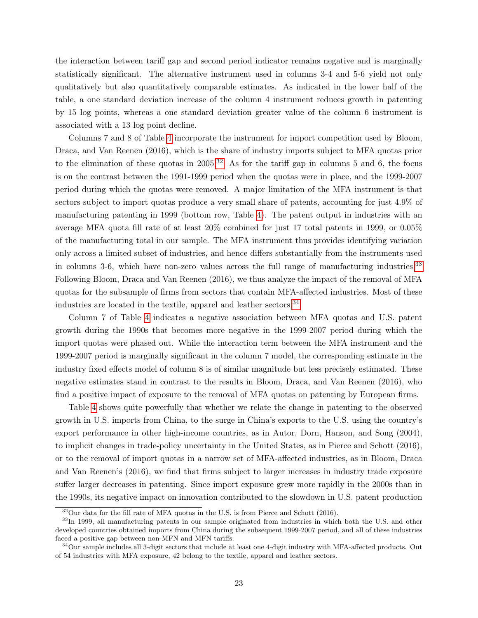the interaction between tariff gap and second period indicator remains negative and is marginally statistically significant. The alternative instrument used in columns 3-4 and 5-6 yield not only qualitatively but also quantitatively comparable estimates. As indicated in the lower half of the table, a one standard deviation increase of the column 4 instrument reduces growth in patenting by 15 log points, whereas a one standard deviation greater value of the column 6 instrument is associated with a 13 log point decline.

Columns 7 and 8 of Table [4](#page-22-0) incorporate the instrument for import competition used by Bloom, Draca, and Van Reenen (2016), which is the share of industry imports subject to MFA quotas prior to the elimination of these quotas in  $2005<sup>32</sup>$  $2005<sup>32</sup>$  $2005<sup>32</sup>$ . As for the tariff gap in columns 5 and 6, the focus is on the contrast between the 1991-1999 period when the quotas were in place, and the 1999-2007 period during which the quotas were removed. A major limitation of the MFA instrument is that sectors subject to import quotas produce a very small share of patents, accounting for just 4.9% of manufacturing patenting in 1999 (bottom row, Table [4\)](#page-22-0). The patent output in industries with an average MFA quota fill rate of at least 20% combined for just 17 total patents in 1999, or 0.05% of the manufacturing total in our sample. The MFA instrument thus provides identifying variation only across a limited subset of industries, and hence differs substantially from the instruments used in columns 3-6, which have non-zero values across the full range of manufacturing industries.[33](#page-23-1) Following Bloom, Draca and Van Reenen (2016), we thus analyze the impact of the removal of MFA quotas for the subsample of firms from sectors that contain MFA-affected industries. Most of these industries are located in the textile, apparel and leather sectors.<sup>[34](#page-23-2)</sup>

Column 7 of Table [4](#page-22-0) indicates a negative association between MFA quotas and U.S. patent growth during the 1990s that becomes more negative in the 1999-2007 period during which the import quotas were phased out. While the interaction term between the MFA instrument and the 1999-2007 period is marginally significant in the column 7 model, the corresponding estimate in the industry fixed effects model of column 8 is of similar magnitude but less precisely estimated. These negative estimates stand in contrast to the results in Bloom, Draca, and Van Reenen (2016), who find a positive impact of exposure to the removal of MFA quotas on patenting by European firms.

Table [4](#page-22-0) shows quite powerfully that whether we relate the change in patenting to the observed growth in U.S. imports from China, to the surge in China's exports to the U.S. using the country's export performance in other high-income countries, as in Autor, Dorn, Hanson, and Song (2004), to implicit changes in trade-policy uncertainty in the United States, as in Pierce and Schott (2016), or to the removal of import quotas in a narrow set of MFA-affected industries, as in Bloom, Draca and Van Reenen's (2016), we find that firms subject to larger increases in industry trade exposure suffer larger decreases in patenting. Since import exposure grew more rapidly in the 2000s than in the 1990s, its negative impact on innovation contributed to the slowdown in U.S. patent production

<span id="page-23-1"></span><span id="page-23-0"></span> $32$ Our data for the fill rate of MFA quotas in the U.S. is from Pierce and Schott (2016).

<sup>&</sup>lt;sup>33</sup>In 1999, all manufacturing patents in our sample originated from industries in which both the U.S. and other developed countries obtained imports from China during the subsequent 1999-2007 period, and all of these industries faced a positive gap between non-MFN and MFN tariffs.

<span id="page-23-2"></span> $34$ Our sample includes all 3-digit sectors that include at least one 4-digit industry with MFA-affected products. Out of 54 industries with MFA exposure, 42 belong to the textile, apparel and leather sectors.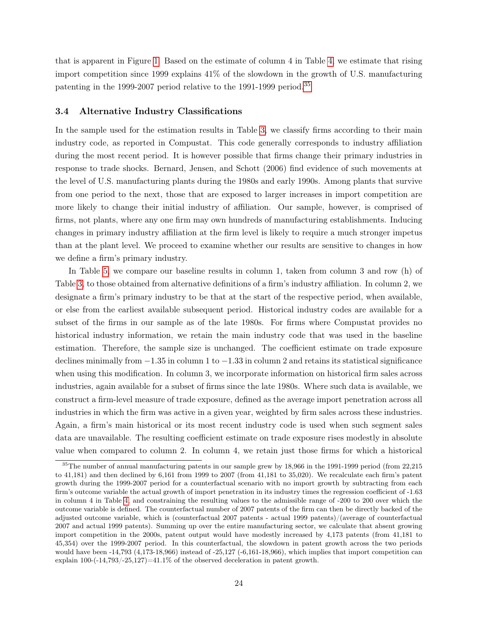that is apparent in Figure [1.](#page-12-0) Based on the estimate of column 4 in Table [4,](#page-22-0) we estimate that rising import competition since 1999 explains 41% of the slowdown in the growth of U.S. manufacturing patenting in the 1999-2007 period relative to the 1991-1999 period.<sup>[35](#page-24-1)</sup>

### <span id="page-24-0"></span>3.4 Alternative Industry Classifications

In the sample used for the estimation results in Table [3,](#page-20-0) we classify firms according to their main industry code, as reported in Compustat. This code generally corresponds to industry affiliation during the most recent period. It is however possible that firms change their primary industries in response to trade shocks. Bernard, Jensen, and Schott (2006) find evidence of such movements at the level of U.S. manufacturing plants during the 1980s and early 1990s. Among plants that survive from one period to the next, those that are exposed to larger increases in import competition are more likely to change their initial industry of affiliation. Our sample, however, is comprised of firms, not plants, where any one firm may own hundreds of manufacturing establishments. Inducing changes in primary industry affiliation at the firm level is likely to require a much stronger impetus than at the plant level. We proceed to examine whether our results are sensitive to changes in how we define a firm's primary industry.

In Table [5,](#page-25-0) we compare our baseline results in column 1, taken from column 3 and row (h) of Table [3,](#page-20-0) to those obtained from alternative definitions of a firm's industry affiliation. In column 2, we designate a firm's primary industry to be that at the start of the respective period, when available, or else from the earliest available subsequent period. Historical industry codes are available for a subset of the firms in our sample as of the late 1980s. For firms where Compustat provides no historical industry information, we retain the main industry code that was used in the baseline estimation. Therefore, the sample size is unchanged. The coefficient estimate on trade exposure declines minimally from −1.35 in column 1 to −1.33 in column 2 and retains its statistical significance when using this modification. In column 3, we incorporate information on historical firm sales across industries, again available for a subset of firms since the late 1980s. Where such data is available, we construct a firm-level measure of trade exposure, defined as the average import penetration across all industries in which the firm was active in a given year, weighted by firm sales across these industries. Again, a firm's main historical or its most recent industry code is used when such segment sales data are unavailable. The resulting coefficient estimate on trade exposure rises modestly in absolute value when compared to column 2. In column 4, we retain just those firms for which a historical

<span id="page-24-1"></span><sup>&</sup>lt;sup>35</sup>The number of annual manufacturing patents in our sample grew by 18,966 in the 1991-1999 period (from 22,215 to 41,181) and then declined by 6,161 from 1999 to 2007 (from 41,181 to 35,020). We recalculate each firm's patent growth during the 1999-2007 period for a counterfactual scenario with no import growth by subtracting from each firm's outcome variable the actual growth of import penetration in its industry times the regression coefficient of -1.63 in column 4 in Table [4,](#page-22-0) and constraining the resulting values to the admissible range of -200 to 200 over which the outcome variable is defined. The counterfactual number of 2007 patents of the firm can then be directly backed of the adjusted outcome variable, which is (counterfactual 2007 patents - actual 1999 patents)/(average of counterfactual 2007 and actual 1999 patents). Summing up over the entire manufacturing sector, we calculate that absent growing import competition in the 2000s, patent output would have modestly increased by 4,173 patents (from 41,181 to 45,354) over the 1999-2007 period. In this counterfactual, the slowdown in patent growth across the two periods would have been  $-14,793$  (4,173-18,966) instead of  $-25,127$  ( $-6,161-18,966$ ), which implies that import competition can explain  $100-(-14,793/-25,127)=41.1\%$  of the observed deceleration in patent growth.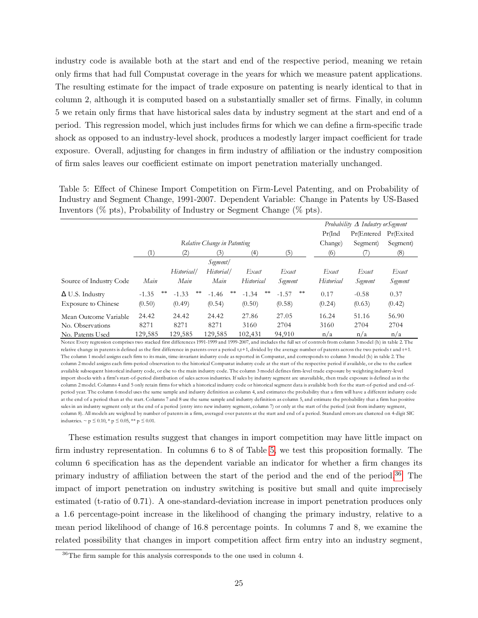industry code is available both at the start and end of the respective period, meaning we retain only firms that had full Compustat coverage in the years for which we measure patent applications. The resulting estimate for the impact of trade exposure on patenting is nearly identical to that in column 2, although it is computed based on a substantially smaller set of firms. Finally, in column 5 we retain only firms that have historical sales data by industry segment at the start and end of a period. This regression model, which just includes firms for which we can define a firm-specific trade shock as opposed to an industry-level shock, produces a modestly larger impact coefficient for trade exposure. Overall, adjusting for changes in firm industry of affiliation or the industry composition of firm sales leaves our coefficient estimate on import penetration materially unchanged.

<span id="page-25-0"></span>Table 5: Effect of Chinese Import Competition on Firm-Level Patenting, and on Probability of Industry and Segment Change, 1991-2007. Dependent Variable: Change in Patents by US-Based Inventors (% pts), Probability of Industry or Segment Change (% pts).

|                            |         |                     |               |               | Probability $\Delta$ Industry or Segment |            |            |           |
|----------------------------|---------|---------------------|---------------|---------------|------------------------------------------|------------|------------|-----------|
|                            |         |                     |               |               |                                          | Pr(Ind     | Pr(Entered | Pr(Exited |
|                            |         | Change)             | Segment)      | Segment)      |                                          |            |            |           |
|                            |         | (2)                 | (3)           | (4)           | (5)                                      | (6)        |            | (8)       |
|                            |         |                     |               |               |                                          |            |            |           |
|                            |         | Historical/         | Historial/    | Exact         | Exact                                    | Exact      | Exact      | Exact     |
| Source of Industry Code    | Main    | Main                | Main          | Historical    | Segment                                  | Historical | Segment    | Segment   |
| $\Delta$ U.S. Industry     | $-1.35$ | **<br>**<br>$-1.33$ | **<br>$-1.46$ | **<br>$-1.34$ | **<br>$-1.57$                            | 0.17       | $-0.58$    | 0.37      |
| <b>Exposure to Chinese</b> | (0.50)  | (0.49)              | (0.54)        | (0.50)        | (0.58)                                   | (0.24)     | (0.63)     | (0.42)    |
| Mean Outcome Variable      | 24.42   | 24.42               | 24.42         | 27.86         | 27.05                                    | 16.24      | 51.16      | 56.90     |
| No. Observations           | 8271    | 8271                | 8271          | 3160          | 2704                                     | 3160       | 2704       | 2704      |
| No. Patents Used           | 129,585 | 129,585             | 129,585       | 102,431       | 94,910                                   | n/a        | n/a        | n/a       |

Notes: Every regression comprises two stacked first differences 1991-1999 and 1999-2007, and includes the full set of controls from column 3 model (h) in table 2. The relative change in patents is defined as the first difference in patents over a period t,t+1, divided by the average number of patents across the two periods t and t+1. The column 1 model assigns each firm to its main, time-invariant industry code as reported in Compustat, and corresponds to column 3 model (h) in table 2. The column 2 model assigns each firm-period observation to the historical Compustat industry code at the start of the respective period if available, or else to the earliest available subsequent historical industry code, or else to the main industry code. The column 3 model defines firm-level trade exposure by weighting industry-level import shocks with a firm's start-of-period distribution of sales across industries. If sales by industry segment are unavailable, then trade exposure is defined as in the column 2 model. Columns 4 and 5 only retain firms for which a historical industry code or historical segment data is available both for the start-of-period and end-ofperiod year. The column 6 model uses the same sample and industry definition as column 4, and estimates the probability that a firm will have a different industry code at the end of a period than at the start. Columns 7 and 8 use the same sample and industry definition as column 5, and estimate the probability that a firm has positive sales in an industry segment only at the end of a period (entry into new industry segment, column 7) or only at the start of the period (exit from industry segment, column 8). All models are weighted by number of patents in a firm, averaged over patents at the start and end of a period. Standard errors are clustered on 4-digit SIC industries. ~ p  $\leq$  0.10, \* p  $\leq$  0.05, \*\* p  $\leq$  0.01.

These estimation results suggest that changes in import competition may have little impact on firm industry representation. In columns 6 to 8 of Table [5,](#page-25-0) we test this proposition formally. The column 6 specification has as the dependent variable an indicator for whether a firm changes its primary industry of affiliation between the start of the period and the end of the period.[36](#page-25-1) The impact of import penetration on industry switching is positive but small and quite imprecisely estimated (t-ratio of 0.71). A one-standard-deviation increase in import penetration produces only a 1.6 percentage-point increase in the likelihood of changing the primary industry, relative to a mean period likelihood of change of 16.8 percentage points. In columns 7 and 8, we examine the related possibility that changes in import competition affect firm entry into an industry segment,

<span id="page-25-1"></span><sup>36</sup>The firm sample for this analysis corresponds to the one used in column 4.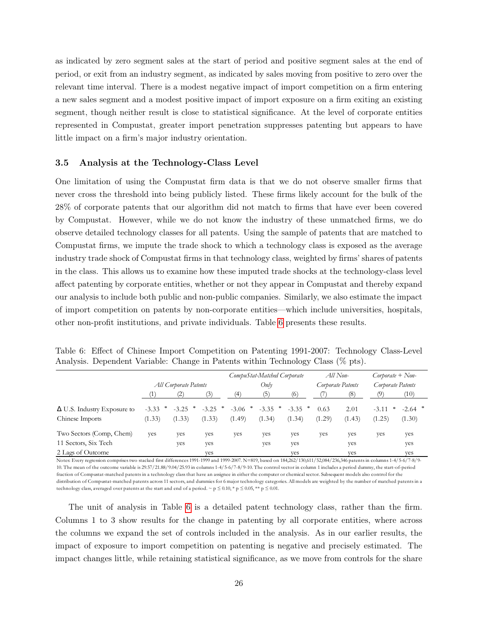as indicated by zero segment sales at the start of period and positive segment sales at the end of period, or exit from an industry segment, as indicated by sales moving from positive to zero over the relevant time interval. There is a modest negative impact of import competition on a firm entering a new sales segment and a modest positive impact of import exposure on a firm exiting an existing segment, though neither result is close to statistical significance. At the level of corporate entities represented in Compustat, greater import penetration suppresses patenting but appears to have little impact on a firm's major industry orientation.

#### 3.5 Analysis at the Technology-Class Level

One limitation of using the Compustat firm data is that we do not observe smaller firms that never cross the threshold into being publicly listed. These firms likely account for the bulk of the 28% of corporate patents that our algorithm did not match to firms that have ever been covered by Compustat. However, while we do not know the industry of these unmatched firms, we do observe detailed technology classes for all patents. Using the sample of patents that are matched to Compustat firms, we impute the trade shock to which a technology class is exposed as the average industry trade shock of Compustat firms in that technology class, weighted by firms' shares of patents in the class. This allows us to examine how these imputed trade shocks at the technology-class level affect patenting by corporate entities, whether or not they appear in Compustat and thereby expand our analysis to include both public and non-public companies. Similarly, we also estimate the impact of import competition on patents by non-corporate entities—which include universities, hospitals, other non-profit institutions, and private individuals. Table [6](#page-26-0) presents these results.

|                                    |                       |         |         |           | CompuStat-Matched Corporate |         | $All$ Non-        |        | $Corporate + Non-$ |           |
|------------------------------------|-----------------------|---------|---------|-----------|-----------------------------|---------|-------------------|--------|--------------------|-----------|
|                                    | All Corporate Patents |         |         | Only      |                             |         | Corporate Patents |        | Corporate Patents  |           |
|                                    |                       |         |         | (4)       | (5)                         | (6      |                   | (8)    |                    | (10)      |
| $\Delta$ U.S. Industry Exposure to | $-3.33$               | $-3.25$ | $-3.25$ | $-3.06$ * | $-3.35$ *                   | $-3.35$ | 0.63              | 2.01   | $-3.11$<br>*       | $-2.64$ * |
| Chinese Imports                    | (1.33)                | (1.33)  | (1.33)  | (1.49)    | (1.34)                      | (1.34)  | (1.29)            | (1.43) | (1.25)             | (1.30)    |
| Two Sectors (Comp, Chem)           | yes                   | yes     | yes     | yes       | yes                         | yes     | yes               | yes    | yes                | yes       |
| 11 Sectors, Six Tech               |                       | ves     | yes     |           | yes                         | yes     |                   | yes    |                    | yes       |
| 2 Lags of Outcome                  |                       |         | ves     |           |                             | ves     |                   | yes    |                    | ves       |

<span id="page-26-0"></span>Table 6: Effect of Chinese Import Competition on Patenting 1991-2007: Technology Class-Level Analysis. Dependent Variable: Change in Patents within Technology Class (% pts).

Notes: Every regression comprises two stacked first differences 1991-1999 and 1999-2007. N=819, based on 184,262/130,611/52,084/236,346 patents in columns 1-4/5-6/7-8/9- 10. The mean of the outcome variable is 29.57/21.88/9.04/25.93 in columns 1-4/5-6/7-8/9-10. The control vector in column 1 includes a period dummy, the start-of-period fraction of Compustat-matched patents in a technology class that have an assignee in either the computer or chemical sector. Subsequent models also control for the distribution of Compustat-matched patents across 11 sectors, and dummies for 6 major technology categories. All models are weighted by the number of matched patents in a technology class, averaged over patents at the start and end of a period. ~  $p \le 0.10$ , \*  $p \le 0.05$ , \*\*  $p \le 0.01$ .

The unit of analysis in Table [6](#page-26-0) is a detailed patent technology class, rather than the firm. Columns 1 to 3 show results for the change in patenting by all corporate entities, where across the columns we expand the set of controls included in the analysis. As in our earlier results, the impact of exposure to import competition on patenting is negative and precisely estimated. The impact changes little, while retaining statistical significance, as we move from controls for the share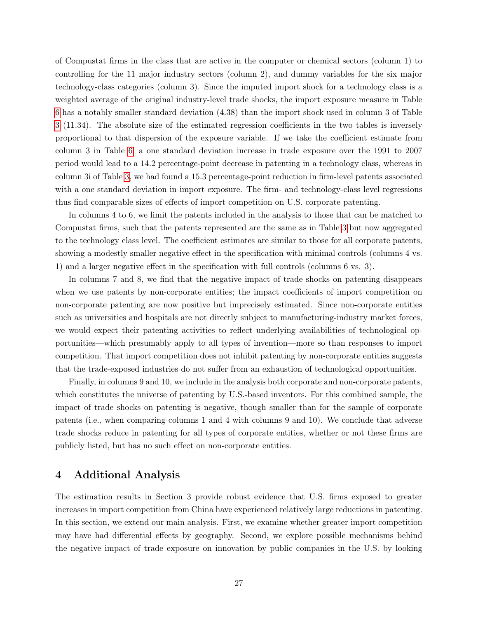of Compustat firms in the class that are active in the computer or chemical sectors (column 1) to controlling for the 11 major industry sectors (column 2), and dummy variables for the six major technology-class categories (column 3). Since the imputed import shock for a technology class is a weighted average of the original industry-level trade shocks, the import exposure measure in Table [6](#page-26-0) has a notably smaller standard deviation (4.38) than the import shock used in column 3 of Table [3](#page-20-0) (11.34). The absolute size of the estimated regression coefficients in the two tables is inversely proportional to that dispersion of the exposure variable. If we take the coefficient estimate from column 3 in Table [6,](#page-26-0) a one standard deviation increase in trade exposure over the 1991 to 2007 period would lead to a 14.2 percentage-point decrease in patenting in a technology class, whereas in column 3i of Table [3,](#page-20-0) we had found a 15.3 percentage-point reduction in firm-level patents associated with a one standard deviation in import exposure. The firm- and technology-class level regressions thus find comparable sizes of effects of import competition on U.S. corporate patenting.

In columns 4 to 6, we limit the patents included in the analysis to those that can be matched to Compustat firms, such that the patents represented are the same as in Table [3](#page-20-0) but now aggregated to the technology class level. The coefficient estimates are similar to those for all corporate patents, showing a modestly smaller negative effect in the specification with minimal controls (columns 4 vs. 1) and a larger negative effect in the specification with full controls (columns 6 vs. 3).

In columns 7 and 8, we find that the negative impact of trade shocks on patenting disappears when we use patents by non-corporate entities; the impact coefficients of import competition on non-corporate patenting are now positive but imprecisely estimated. Since non-corporate entities such as universities and hospitals are not directly subject to manufacturing-industry market forces, we would expect their patenting activities to reflect underlying availabilities of technological opportunities—which presumably apply to all types of invention—more so than responses to import competition. That import competition does not inhibit patenting by non-corporate entities suggests that the trade-exposed industries do not suffer from an exhaustion of technological opportunities.

Finally, in columns 9 and 10, we include in the analysis both corporate and non-corporate patents, which constitutes the universe of patenting by U.S.-based inventors. For this combined sample, the impact of trade shocks on patenting is negative, though smaller than for the sample of corporate patents (i.e., when comparing columns 1 and 4 with columns 9 and 10). We conclude that adverse trade shocks reduce in patenting for all types of corporate entities, whether or not these firms are publicly listed, but has no such effect on non-corporate entities.

## 4 Additional Analysis

The estimation results in Section 3 provide robust evidence that U.S. firms exposed to greater increases in import competition from China have experienced relatively large reductions in patenting. In this section, we extend our main analysis. First, we examine whether greater import competition may have had differential effects by geography. Second, we explore possible mechanisms behind the negative impact of trade exposure on innovation by public companies in the U.S. by looking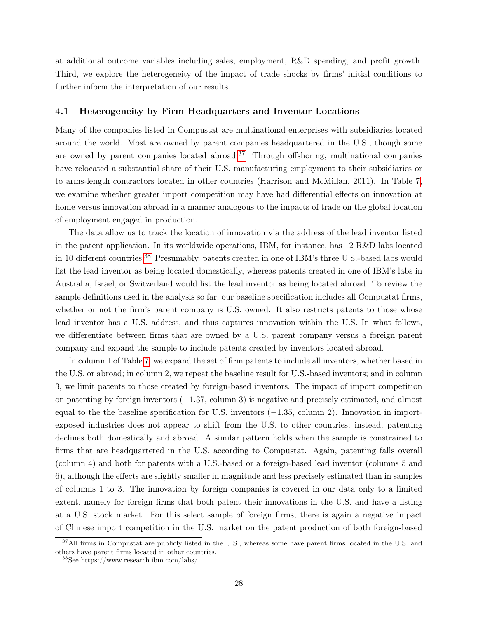at additional outcome variables including sales, employment, R&D spending, and profit growth. Third, we explore the heterogeneity of the impact of trade shocks by firms' initial conditions to further inform the interpretation of our results.

#### 4.1 Heterogeneity by Firm Headquarters and Inventor Locations

Many of the companies listed in Compustat are multinational enterprises with subsidiaries located around the world. Most are owned by parent companies headquartered in the U.S., though some are owned by parent companies located abroad.<sup>[37](#page-28-0)</sup> Through offshoring, multinational companies have relocated a substantial share of their U.S. manufacturing employment to their subsidiaries or to arms-length contractors located in other countries (Harrison and McMillan, 2011). In Table [7,](#page-29-0) we examine whether greater import competition may have had differential effects on innovation at home versus innovation abroad in a manner analogous to the impacts of trade on the global location of employment engaged in production.

The data allow us to track the location of innovation via the address of the lead inventor listed in the patent application. In its worldwide operations, IBM, for instance, has 12 R&D labs located in 10 different countries.[38](#page-28-1) Presumably, patents created in one of IBM's three U.S.-based labs would list the lead inventor as being located domestically, whereas patents created in one of IBM's labs in Australia, Israel, or Switzerland would list the lead inventor as being located abroad. To review the sample definitions used in the analysis so far, our baseline specification includes all Compustat firms, whether or not the firm's parent company is U.S. owned. It also restricts patents to those whose lead inventor has a U.S. address, and thus captures innovation within the U.S. In what follows, we differentiate between firms that are owned by a U.S. parent company versus a foreign parent company and expand the sample to include patents created by inventors located abroad.

In column 1 of Table [7,](#page-29-0) we expand the set of firm patents to include all inventors, whether based in the U.S. or abroad; in column 2, we repeat the baseline result for U.S.-based inventors; and in column 3, we limit patents to those created by foreign-based inventors. The impact of import competition on patenting by foreign inventors (−1.37, column 3) is negative and precisely estimated, and almost equal to the the baseline specification for U.S. inventors (−1.35, column 2). Innovation in importexposed industries does not appear to shift from the U.S. to other countries; instead, patenting declines both domestically and abroad. A similar pattern holds when the sample is constrained to firms that are headquartered in the U.S. according to Compustat. Again, patenting falls overall (column 4) and both for patents with a U.S.-based or a foreign-based lead inventor (columns 5 and 6), although the effects are slightly smaller in magnitude and less precisely estimated than in samples of columns 1 to 3. The innovation by foreign companies is covered in our data only to a limited extent, namely for foreign firms that both patent their innovations in the U.S. and have a listing at a U.S. stock market. For this select sample of foreign firms, there is again a negative impact of Chinese import competition in the U.S. market on the patent production of both foreign-based

<span id="page-28-0"></span><sup>&</sup>lt;sup>37</sup>All firms in Compustat are publicly listed in the U.S., whereas some have parent firms located in the U.S. and others have parent firms located in other countries.

<span id="page-28-1"></span><sup>38</sup>See https://www.research.ibm.com/labs/.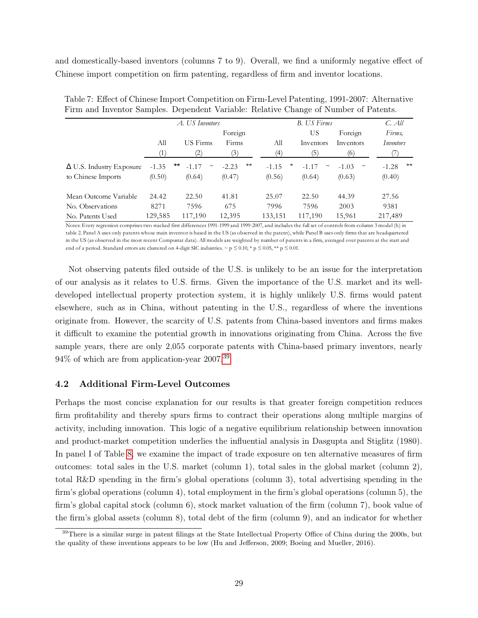and domestically-based inventors (columns 7 to 9). Overall, we find a uniformly negative effect of Chinese import competition on firm patenting, regardless of firm and inventor locations.

|                                 |         | A. US Inventors                     |               |              | <b>B.</b> US Firms                   |                   | C. All        |
|---------------------------------|---------|-------------------------------------|---------------|--------------|--------------------------------------|-------------------|---------------|
|                                 |         |                                     | Foreign       |              | US                                   | Foreign           | Firms,        |
|                                 | All     | US Firms                            | Firms         | All          | Inventors                            | Inventors         | Inventors     |
|                                 | (1)     | $\left( 2\right)$                   | (3)           | (4)          | (5)                                  | (6)               |               |
| $\Delta$ U.S. Industry Exposure | $-1.35$ | $\pm \pm$<br>$-1.17$<br>$\thicksim$ | **<br>$-2.23$ | *<br>$-1.15$ | $-1.17$<br>$\widetilde{\phantom{m}}$ | $-1.03$<br>$\sim$ | **<br>$-1.28$ |
| to Chinese Imports              | (0.50)  | (0.64)                              | (0.47)        | (0.56)       | (0.64)                               | (0.63)            | (0.40)        |
| Mean Outcome Variable           | 24.42   | 22.50                               | 41.81         | 25.07        | 22.50                                | 44.39             | 27.56         |
| No. Observations                | 8271    | 7596                                | 675           | 7996         | 7596                                 | 2003              | 9381          |
| No. Patents Used                | 129,585 | 117,190                             | 12,395        | 133,151      | 117,190                              | 15,961            | 217,489       |

<span id="page-29-0"></span>Table 7: Effect of Chinese Import Competition on Firm-Level Patenting, 1991-2007: Alternative Firm and Inventor Samples. Dependent Variable: Relative Change of Number of Patents.

Notes: Every regression comprises two stacked first differences 1991-1999 and 1999-2007, and includes the full set of controls from column 3 model (h) in table 2. Panel A uses only patents whose main inventor is based in the US (as observed in the patent), while Panel B uses only firms that are headquartered in the US (as observed in the most recent Compustat data). All models are weighted by number of patents in a firm, averaged over patents at the start and end of a period. Standard errors are clustered on 4-digit SIC industries.  $\sim p \le 0.00$ ,  $\gamma p \le 0.05$ ,  $\gamma \gamma p \le 0.01$ .

Not observing patents filed outside of the U.S. is unlikely to be an issue for the interpretation of our analysis as it relates to U.S. firms. Given the importance of the U.S. market and its welldeveloped intellectual property protection system, it is highly unlikely U.S. firms would patent elsewhere, such as in China, without patenting in the U.S., regardless of where the inventions originate from. However, the scarcity of U.S. patents from China-based inventors and firms makes it difficult to examine the potential growth in innovations originating from China. Across the five sample years, there are only 2,055 corporate patents with China-based primary inventors, nearly  $94\%$  of which are from application-year 2007.<sup>[39](#page-29-1)</sup>

## 4.2 Additional Firm-Level Outcomes

Perhaps the most concise explanation for our results is that greater foreign competition reduces firm profitability and thereby spurs firms to contract their operations along multiple margins of activity, including innovation. This logic of a negative equilibrium relationship between innovation and product-market competition underlies the influential analysis in Dasgupta and Stiglitz (1980). In panel I of Table [8,](#page-30-0) we examine the impact of trade exposure on ten alternative measures of firm outcomes: total sales in the U.S. market (column 1), total sales in the global market (column 2), total R&D spending in the firm's global operations (column 3), total advertising spending in the firm's global operations (column 4), total employment in the firm's global operations (column 5), the firm's global capital stock (column 6), stock market valuation of the firm (column 7), book value of the firm's global assets (column 8), total debt of the firm (column 9), and an indicator for whether

<span id="page-29-1"></span><sup>&</sup>lt;sup>39</sup>There is a similar surge in patent filings at the State Intellectual Property Office of China during the 2000s, but the quality of these inventions appears to be low (Hu and Jefferson, 2009; Boeing and Mueller, 2016).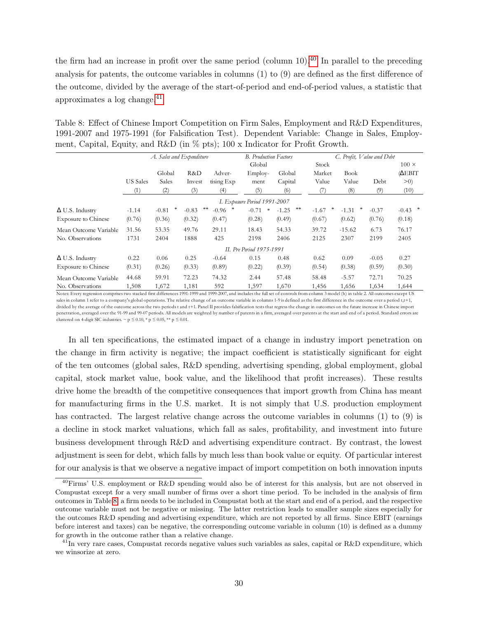the firm had an increase in profit over the same period (column 10).<sup>[40](#page-30-1)</sup> In parallel to the preceding analysis for patents, the outcome variables in columns (1) to (9) are defined as the first difference of the outcome, divided by the average of the start-of-period and end-of-period values, a statistic that approximates a log change.[41](#page-30-2)

<span id="page-30-0"></span>

| Table 8: Effect of Chinese Import Competition on Firm Sales, Employment and R&D Expenditures,  |  |
|------------------------------------------------------------------------------------------------|--|
| 1991-2007 and 1975-1991 (for Falsification Test). Dependent Variable: Change in Sales, Employ- |  |
| ment, Capital, Equity, and R&D (in % pts); 100 x Indicator for Profit Growth.                  |  |

|                            |                 | A. Sales and Expenditure |               |              | <b>B.</b> Production Factors |               | C. Profit, Value and Debt |              |         |              |
|----------------------------|-----------------|--------------------------|---------------|--------------|------------------------------|---------------|---------------------------|--------------|---------|--------------|
|                            |                 |                          |               |              | Global                       |               | Stock                     |              |         | $100 \times$ |
|                            |                 | Global                   | R&D           | Adver-       | Employ-                      | Global        | Market                    | Book         |         | (AEBIT)      |
|                            | <b>US</b> Sales | Sales                    | Invest        | tising Exp   | ment                         | Capital       | Value                     | Value        | Debt    | >0)          |
|                            | (1)             | (2)                      | (3)           | (4)          | (5)                          | (6)           | (7)                       | (8)          | (9)     | (10)         |
|                            |                 |                          |               |              | I. Exposure Period 1991-2007 |               |                           |              |         |              |
| $\Delta$ U.S. Industry     | $-1.14$         | *<br>$-0.81$             | **<br>$-0.83$ | ∗<br>$-0.96$ | $-0.71$<br>$\ast$            | **<br>$-1.25$ | *<br>$-1.67$              | ∗<br>$-1.31$ | $-0.37$ | $-0.43$ *    |
| <b>Exposure to Chinese</b> | (0.76)          | (0.36)                   | (0.32)        | (0.47)       | (0.28)                       | (0.49)        | (0.67)                    | (0.62)       | (0.76)  | (0.18)       |
| Mean Outcome Variable      | 31.56           | 53.35                    | 49.76         | 29.11        | 18.43                        | 54.33         | 39.72                     | $-15.62$     | 6.73    | 76.17        |
| No. Observations           | 1731            | 2404                     | 1888          | 425          | 2198                         | 2406          | 2125                      | 2307         | 2199    | 2405         |
|                            |                 |                          |               |              | II. Pre Period 1975-1991     |               |                           |              |         |              |
| $\Delta$ U.S. Industry     | 0.22            | 0.06                     | 0.25          | $-0.64$      | 0.15                         | 0.48          | 0.62                      | 0.09         | $-0.05$ | 0.27         |
| <b>Exposure to Chinese</b> | (0.31)          | (0.26)                   | (0.33)        | (0.89)       | (0.22)                       | (0.39)        | (0.54)                    | (0.38)       | (0.59)  | (0.30)       |
| Mean Outcome Variable      | 44.68           | 59.91                    | 72.23         | 74.32        | 2.44                         | 57.48         | 58.48                     | $-5.57$      | 72.71   | 70.25        |
| No. Observations           | 1,508           | 1,672                    | 1,181         | 592          | 1,597                        | 1,670         | 1,456                     | 1,656        | 1,634   | 1,644        |

Notes: Every regression comprises two stacked first differences 1991-1999 and 1999-2007, and includes the full set of controls from column 3 model (h) in table 2. All outcomes except US sales in column 1 refer to a company's global operations. The relative change of an outcome variable in columns 1-9 is defined as the first difference in the outcome over a period t,t+1, divided by the average of the outcome across the two periods t and t+1. Panel II provides falsification tests that regress the change in outcomes on the future increase in Chinese import penetration, averaged over the 91-99 and 99-07 periods. All models are weighted by number of patents in a firm, averaged over patents at the start and end of a period. Standard errors are clustered on 4-digit SIC industries.  $\sim p \leq 0.10$ , \*  $p \leq 0.05$ , \*\*  $p \leq 0.01$ .

In all ten specifications, the estimated impact of a change in industry import penetration on the change in firm activity is negative; the impact coefficient is statistically significant for eight of the ten outcomes (global sales, R&D spending, advertising spending, global employment, global capital, stock market value, book value, and the likelihood that profit increases). These results drive home the breadth of the competitive consequences that import growth from China has meant for manufacturing firms in the U.S. market. It is not simply that U.S. production employment has contracted. The largest relative change across the outcome variables in columns (1) to (9) is a decline in stock market valuations, which fall as sales, profitability, and investment into future business development through R&D and advertising expenditure contract. By contrast, the lowest adjustment is seen for debt, which falls by much less than book value or equity. Of particular interest for our analysis is that we observe a negative impact of import competition on both innovation inputs

<span id="page-30-1"></span><sup>40</sup>Firms' U.S. employment or R&D spending would also be of interest for this analysis, but are not observed in Compustat except for a very small number of firms over a short time period. To be included in the analysis of firm outcomes in Table [8,](#page-30-0) a firm needs to be included in Compustat both at the start and end of a period, and the respective outcome variable must not be negative or missing. The latter restriction leads to smaller sample sizes especially for the outcomes R&D spending and advertising expenditure, which are not reported by all firms. Since EBIT (earnings before interest and taxes) can be negative, the corresponding outcome variable in column (10) is defined as a dummy for growth in the outcome rather than a relative change.

<span id="page-30-2"></span> $^{41}$ In very rare cases, Compustat records negative values such variables as sales, capital or R&D expenditure, which we winsorize at zero.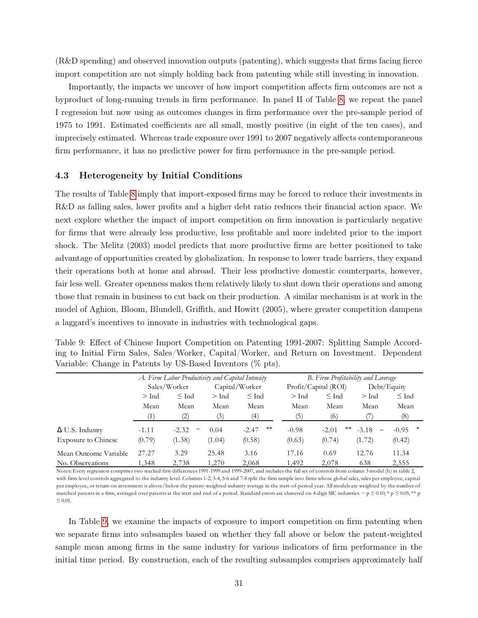(R&D spending) and observed innovation outputs (patenting), which suggests that firms facing fierce import competition are not simply holding back from patenting while still investing in innovation.

Importantly, the impacts we uncover of how import competition affects firm outcomes are not a byproduct of long-running trends in firm performance. In panel II of Table [8,](#page-30-0) we repeat the panel I regression but now using as outcomes changes in firm performance over the pre-sample period of 1975 to 1991. Estimated coefficients are all small, mostly positive (in eight of the ten cases), and imprecisely estimated. Whereas trade exposure over 1991 to 2007 negatively affects contemporaneous firm performance, it has no predictive power for firm performance in the pre-sample period.

### 4.3 Heterogeneity by Initial Conditions

The results of Table [8](#page-30-0) imply that import-exposed firms may be forced to reduce their investments in R&D as falling sales, lower profits and a higher debt ratio reduces their financial action space. We next explore whether the impact of import competition on firm innovation is particularly negative for firms that were already less productive, less profitable and more indebted prior to the import shock. The Melitz (2003) model predicts that more productive firms are better positioned to take advantage of opportunities created by globalization. In response to lower trade barriers, they expand their operations both at home and abroad. Their less productive domestic counterparts, however, fair less well. Greater openness makes them relatively likely to shut down their operations and among those that remain in business to cut back on their production. A similar mechanism is at work in the model of Aghion, Bloom, Blundell, Griffith, and Howitt (2005), where greater competition dampens a laggard's incentives to innovate in industries with technological gaps.

<span id="page-31-0"></span>

| Table 9: Effect of Chinese Import Competition on Patenting 1991-2007: Splitting Sample Accord- |  |
|------------------------------------------------------------------------------------------------|--|
| ing to Initial Firm Sales, Sales/Worker, Capital/Worker, and Return on Investment. Dependent   |  |
| Variable: Change in Patents by US-Based Inventors $(\%$ pts).                                  |  |

|                            |         | A. Firm Labor Productivity and Capital Intensity |         |                |         | B. Firm Profitability and Leverage |                   |              |
|----------------------------|---------|--------------------------------------------------|---------|----------------|---------|------------------------------------|-------------------|--------------|
|                            |         | Sales/Worker                                     |         | Capital/Worker |         | Profit/Capital (ROI)               | Debt/Equity       |              |
|                            | $>$ Ind | $\leq$ Ind                                       | $>$ Ind | $\leq$ Ind     | $>$ Ind | $\leq$ Ind                         | $>$ Ind           | $\leq$ Ind   |
|                            | Mean    | Mean                                             | Mean    | Mean           | Mean    | Mean                               | Mean              | Mean         |
|                            |         | (2)                                              | (3)     | (4)            | (5)     | (6)                                |                   | (8)          |
| $\Delta$ U.S. Industry     | $-1.11$ | $-2.32$<br>$\tilde{\phantom{a}}$                 | 0.04    | **<br>$-2.47$  | $-0.98$ | **<br>$-2.01$                      | $-3.18$<br>$\sim$ | 冰<br>$-0.95$ |
| <b>Exposure to Chinese</b> | (0.79)  | (1.38)                                           | (1.04)  | (0.58)         | (0.63)  | (0.74)                             | (1.72)            | (0.42)       |
| Mean Outcome Variable      | 27.27   | 3.29                                             | 25.48   | 3.16           | 17.16   | 0.69                               | 12.76             | 11.34        |
| No. Observations           | 1,348   | 2,738                                            | 1,270   | 2,068          | 1,492   | 2,078                              | 638               | 2,555        |

Notes: Every regression comprises two stacked first differences 1991-1999 and 1999-2007, and includes the full set of controls from column 3 model (h) in table 2, with firm-level controls aggregated to the industry level. Columns 1-2, 3-4, 5-6 and 7-8 split the firm sample into firms whose global sales, sales per employee, capital per employee, or return on investment is above/below the patent-weighted industry average in the start-of-period year. All models are weighted by the number of matched patents in a firm, averaged over patents at the start and end of a period. Standard errors are clustered on 4-digit SIC industries. ~ p  $\leq 0.10$ , \* p  $\leq 0.05$ , \*\* p  $\leq 0.01$ .

In Table [9,](#page-31-0) we examine the impacts of exposure to import competition on firm patenting when we separate firms into subsamples based on whether they fall above or below the patent-weighted sample mean among firms in the same industry for various indicators of firm performance in the initial time period. By construction, each of the resulting subsamples comprises approximately half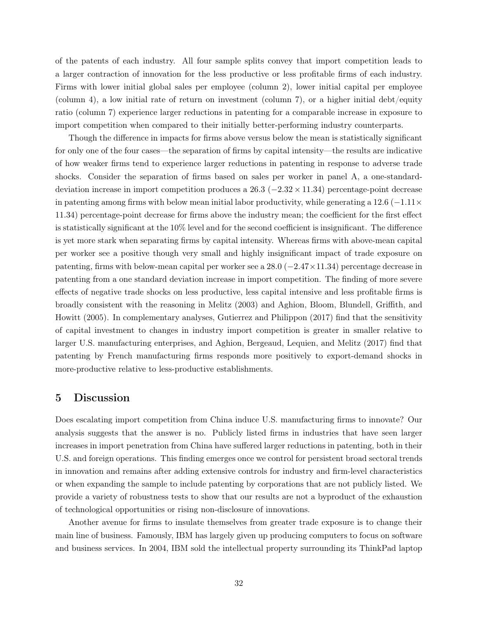of the patents of each industry. All four sample splits convey that import competition leads to a larger contraction of innovation for the less productive or less profitable firms of each industry. Firms with lower initial global sales per employee (column 2), lower initial capital per employee (column 4), a low initial rate of return on investment (column 7), or a higher initial debt/equity ratio (column 7) experience larger reductions in patenting for a comparable increase in exposure to import competition when compared to their initially better-performing industry counterparts.

Though the difference in impacts for firms above versus below the mean is statistically significant for only one of the four cases—the separation of firms by capital intensity—the results are indicative of how weaker firms tend to experience larger reductions in patenting in response to adverse trade shocks. Consider the separation of firms based on sales per worker in panel A, a one-standarddeviation increase in import competition produces a  $26.3$  ( $-2.32 \times 11.34$ ) percentage-point decrease in patenting among firms with below mean initial labor productivity, while generating a 12.6 ( $-1.11 \times$ 11.34) percentage-point decrease for firms above the industry mean; the coefficient for the first effect is statistically significant at the 10% level and for the second coefficient is insignificant. The difference is yet more stark when separating firms by capital intensity. Whereas firms with above-mean capital per worker see a positive though very small and highly insignificant impact of trade exposure on patenting, firms with below-mean capital per worker see a  $28.0$  ( $-2.47\times11.34$ ) percentage decrease in patenting from a one standard deviation increase in import competition. The finding of more severe effects of negative trade shocks on less productive, less capital intensive and less profitable firms is broadly consistent with the reasoning in Melitz (2003) and Aghion, Bloom, Blundell, Griffith, and Howitt (2005). In complementary analyses, Gutierrez and Philippon (2017) find that the sensitivity of capital investment to changes in industry import competition is greater in smaller relative to larger U.S. manufacturing enterprises, and Aghion, Bergeaud, Lequien, and Melitz (2017) find that patenting by French manufacturing firms responds more positively to export-demand shocks in more-productive relative to less-productive establishments.

## 5 Discussion

Does escalating import competition from China induce U.S. manufacturing firms to innovate? Our analysis suggests that the answer is no. Publicly listed firms in industries that have seen larger increases in import penetration from China have suffered larger reductions in patenting, both in their U.S. and foreign operations. This finding emerges once we control for persistent broad sectoral trends in innovation and remains after adding extensive controls for industry and firm-level characteristics or when expanding the sample to include patenting by corporations that are not publicly listed. We provide a variety of robustness tests to show that our results are not a byproduct of the exhaustion of technological opportunities or rising non-disclosure of innovations.

Another avenue for firms to insulate themselves from greater trade exposure is to change their main line of business. Famously, IBM has largely given up producing computers to focus on software and business services. In 2004, IBM sold the intellectual property surrounding its ThinkPad laptop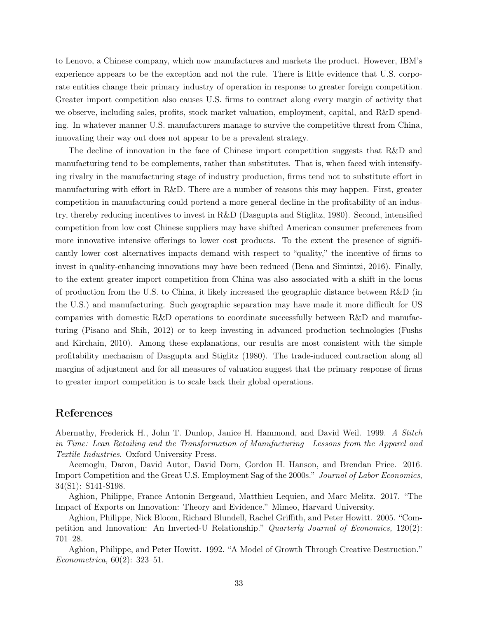to Lenovo, a Chinese company, which now manufactures and markets the product. However, IBM's experience appears to be the exception and not the rule. There is little evidence that U.S. corporate entities change their primary industry of operation in response to greater foreign competition. Greater import competition also causes U.S. firms to contract along every margin of activity that we observe, including sales, profits, stock market valuation, employment, capital, and R&D spending. In whatever manner U.S. manufacturers manage to survive the competitive threat from China, innovating their way out does not appear to be a prevalent strategy.

The decline of innovation in the face of Chinese import competition suggests that R&D and manufacturing tend to be complements, rather than substitutes. That is, when faced with intensifying rivalry in the manufacturing stage of industry production, firms tend not to substitute effort in manufacturing with effort in R&D. There are a number of reasons this may happen. First, greater competition in manufacturing could portend a more general decline in the profitability of an industry, thereby reducing incentives to invest in R&D (Dasgupta and Stiglitz, 1980). Second, intensified competition from low cost Chinese suppliers may have shifted American consumer preferences from more innovative intensive offerings to lower cost products. To the extent the presence of significantly lower cost alternatives impacts demand with respect to "quality," the incentive of firms to invest in quality-enhancing innovations may have been reduced (Bena and Simintzi, 2016). Finally, to the extent greater import competition from China was also associated with a shift in the locus of production from the U.S. to China, it likely increased the geographic distance between R&D (in the U.S.) and manufacturing. Such geographic separation may have made it more difficult for US companies with domestic R&D operations to coordinate successfully between R&D and manufacturing (Pisano and Shih, 2012) or to keep investing in advanced production technologies (Fushs and Kirchain, 2010). Among these explanations, our results are most consistent with the simple profitability mechanism of Dasgupta and Stiglitz (1980). The trade-induced contraction along all margins of adjustment and for all measures of valuation suggest that the primary response of firms to greater import competition is to scale back their global operations.

# References

Abernathy, Frederick H., John T. Dunlop, Janice H. Hammond, and David Weil. 1999. A Stitch in Time: Lean Retailing and the Transformation of Manufacturing—Lessons from the Apparel and Textile Industries. Oxford University Press.

Acemoglu, Daron, David Autor, David Dorn, Gordon H. Hanson, and Brendan Price. 2016. Import Competition and the Great U.S. Employment Sag of the 2000s." Journal of Labor Economics, 34(S1): S141-S198.

Aghion, Philippe, France Antonin Bergeaud, Matthieu Lequien, and Marc Melitz. 2017. "The Impact of Exports on Innovation: Theory and Evidence." Mimeo, Harvard University.

Aghion, Philippe, Nick Bloom, Richard Blundell, Rachel Griffith, and Peter Howitt. 2005. "Competition and Innovation: An Inverted-U Relationship." Quarterly Journal of Economics, 120(2): 701–28.

Aghion, Philippe, and Peter Howitt. 1992. "A Model of Growth Through Creative Destruction." Econometrica, 60(2): 323–51.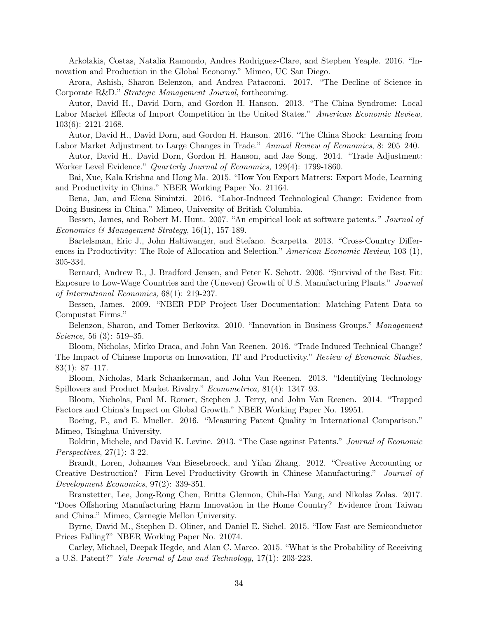Arkolakis, Costas, Natalia Ramondo, Andres Rodriguez-Clare, and Stephen Yeaple. 2016. "Innovation and Production in the Global Economy." Mimeo, UC San Diego.

Arora, Ashish, Sharon Belenzon, and Andrea Patacconi. 2017. "The Decline of Science in Corporate R&D." Strategic Management Journal, forthcoming.

Autor, David H., David Dorn, and Gordon H. Hanson. 2013. "The China Syndrome: Local Labor Market Effects of Import Competition in the United States." American Economic Review, 103(6): 2121-2168.

Autor, David H., David Dorn, and Gordon H. Hanson. 2016. "The China Shock: Learning from Labor Market Adjustment to Large Changes in Trade." Annual Review of Economics, 8: 205–240.

Autor, David H., David Dorn, Gordon H. Hanson, and Jae Song. 2014. "Trade Adjustment: Worker Level Evidence." Quarterly Journal of Economics, 129(4): 1799-1860.

Bai, Xue, Kala Krishna and Hong Ma. 2015. "How You Export Matters: Export Mode, Learning and Productivity in China." NBER Working Paper No. 21164.

Bena, Jan, and Elena Simintzi. 2016. "Labor-Induced Technological Change: Evidence from Doing Business in China." Mimeo, University of British Columbia.

Bessen, James, and Robert M. Hunt. 2007. "An empirical look at software patents." Journal of Economics & Management Strategy, 16(1), 157-189.

Bartelsman, Eric J., John Haltiwanger, and Stefano. Scarpetta. 2013. "Cross-Country Differences in Productivity: The Role of Allocation and Selection." American Economic Review, 103 (1), 305-334.

Bernard, Andrew B., J. Bradford Jensen, and Peter K. Schott. 2006. "Survival of the Best Fit: Exposure to Low-Wage Countries and the (Uneven) Growth of U.S. Manufacturing Plants." Journal of International Economics, 68(1): 219-237.

Bessen, James. 2009. "NBER PDP Project User Documentation: Matching Patent Data to Compustat Firms."

Belenzon, Sharon, and Tomer Berkovitz. 2010. "Innovation in Business Groups." Management Science, 56 (3): 519–35.

Bloom, Nicholas, Mirko Draca, and John Van Reenen. 2016. "Trade Induced Technical Change? The Impact of Chinese Imports on Innovation, IT and Productivity." Review of Economic Studies, 83(1): 87–117.

Bloom, Nicholas, Mark Schankerman, and John Van Reenen. 2013. "Identifying Technology Spillovers and Product Market Rivalry." Econometrica, 81(4): 1347–93.

Bloom, Nicholas, Paul M. Romer, Stephen J. Terry, and John Van Reenen. 2014. "Trapped Factors and China's Impact on Global Growth." NBER Working Paper No. 19951.

Boeing, P., and E. Mueller. 2016. "Measuring Patent Quality in International Comparison." Mimeo, Tsinghua University.

Boldrin, Michele, and David K. Levine. 2013. "The Case against Patents." Journal of Economic Perspectives, 27(1): 3-22.

Brandt, Loren, Johannes Van Biesebroeck, and Yifan Zhang. 2012. "Creative Accounting or Creative Destruction? Firm-Level Productivity Growth in Chinese Manufacturing." Journal of Development Economics, 97(2): 339-351.

Branstetter, Lee, Jong-Rong Chen, Britta Glennon, Chih-Hai Yang, and Nikolas Zolas. 2017. "Does Offshoring Manufacturing Harm Innovation in the Home Country? Evidence from Taiwan and China." Mimeo, Carnegie Mellon University.

Byrne, David M., Stephen D. Oliner, and Daniel E. Sichel. 2015. "How Fast are Semiconductor Prices Falling?" NBER Working Paper No. 21074.

Carley, Michael, Deepak Hegde, and Alan C. Marco. 2015. "What is the Probability of Receiving a U.S. Patent?" Yale Journal of Law and Technology, 17(1): 203-223.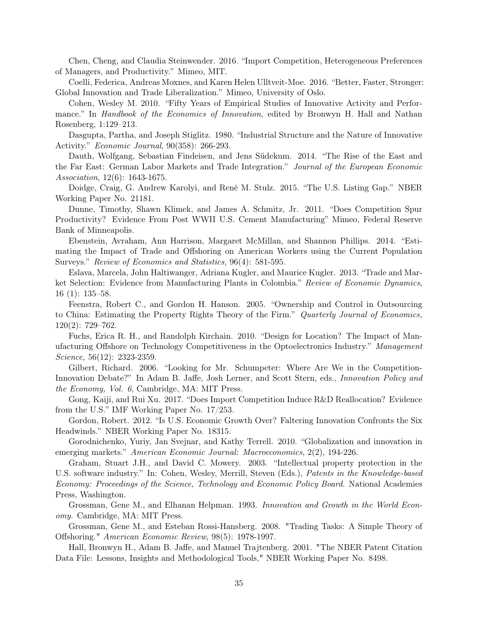Chen, Cheng, and Claudia Steinwender. 2016. "Import Competition, Heterogeneous Preferences of Managers, and Productivity." Mimeo, MIT.

Coelli, Federica, Andreas Moxnes, and Karen Helen Ulltveit-Moe. 2016. "Better, Faster, Stronger: Global Innovation and Trade Liberalization." Mimeo, University of Oslo.

Cohen, Wesley M. 2010. "Fifty Years of Empirical Studies of Innovative Activity and Performance." In *Handbook of the Economics of Innovation*, edited by Bronwyn H. Hall and Nathan Rosenberg, 1:129–213.

Dasgupta, Partha, and Joseph Stiglitz. 1980. "Industrial Structure and the Nature of Innovative Activity." Economic Journal, 90(358): 266-293.

Dauth, Wolfgang, Sebastian Findeisen, and Jens Südekum. 2014. "The Rise of the East and the Far East: German Labor Markets and Trade Integration." Journal of the European Economic Association, 12(6): 1643-1675.

Doidge, Craig, G. Andrew Karolyi, and René M. Stulz. 2015. "The U.S. Listing Gap." NBER Working Paper No. 21181.

Dunne, Timothy, Shawn Klimek, and James A. Schmitz, Jr. 2011. "Does Competition Spur Productivity? Evidence From Post WWII U.S. Cement Manufacturing" Mimeo, Federal Reserve Bank of Minneapolis.

Ebenstein, Avraham, Ann Harrison, Margaret McMillan, and Shannon Phillips. 2014. "Estimating the Impact of Trade and Offshoring on American Workers using the Current Population Surveys." Review of Economics and Statistics, 96(4): 581-595.

Eslava, Marcela, John Haltiwanger, Adriana Kugler, and Maurice Kugler. 2013. "Trade and Market Selection: Evidence from Manufacturing Plants in Colombia." Review of Economic Dynamics, 16 (1): 135–58.

Feenstra, Robert C., and Gordon H. Hanson. 2005. "Ownership and Control in Outsourcing to China: Estimating the Property Rights Theory of the Firm." Quarterly Journal of Economics, 120(2): 729–762.

Fuchs, Erica R. H., and Randolph Kirchain. 2010. "Design for Location? The Impact of Manufacturing Offshore on Technology Competitiveness in the Optoelectronics Industry." Management Science, 56(12): 2323-2359.

Gilbert, Richard. 2006. "Looking for Mr. Schumpeter: Where Are We in the Competition-Innovation Debate?" In Adam B. Jaffe, Josh Lerner, and Scott Stern, eds., Innovation Policy and the Economy, Vol. 6, Cambridge, MA: MIT Press.

Gong, Kaiji, and Rui Xu. 2017. "Does Import Competition Induce R&D Reallocation? Evidence from the U.S." IMF Working Paper No. 17/253.

Gordon, Robert. 2012. "Is U.S. Economic Growth Over? Faltering Innovation Confronts the Six Headwinds." NBER Working Paper No. 18315.

Gorodnichenko, Yuriy, Jan Svejnar, and Kathy Terrell. 2010. "Globalization and innovation in emerging markets." American Economic Journal: Macroeconomics, 2(2), 194-226.

Graham, Stuart J.H., and David C. Mowery. 2003. "Intellectual property protection in the U.S. software industry." In: Cohen, Wesley, Merrill, Steven (Eds.), Patents in the Knowledge-based Economy: Proceedings of the Science, Technology and Economic Policy Board. National Academies Press, Washington.

Grossman, Gene M., and Elhanan Helpman. 1993. Innovation and Growth in the World Economy. Cambridge, MA: MIT Press.

Grossman, Gene M., and Esteban Rossi-Hansberg. 2008. "Trading Tasks: A Simple Theory of Offshoring." American Economic Review, 98(5): 1978-1997.

Hall, Bronwyn H., Adam B. Jaffe, and Manuel Trajtenberg. 2001. "The NBER Patent Citation Data File: Lessons, Insights and Methodological Tools," NBER Working Paper No. 8498.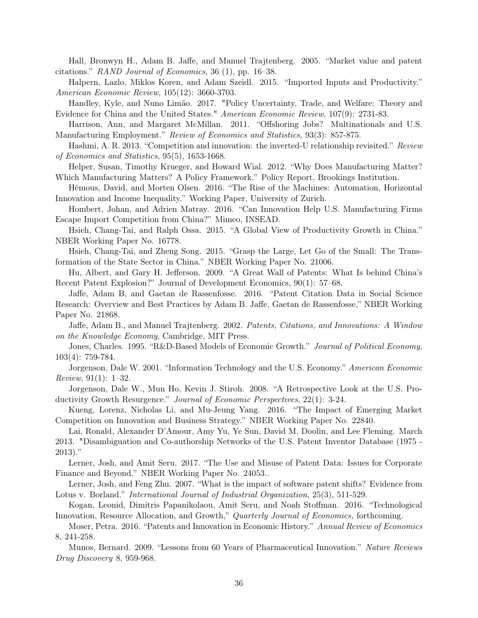Hall, Bronwyn H., Adam B. Jaffe, and Manuel Trajtenberg. 2005. "Market value and patent citations." RAND Journal of Economics, 36 (1), pp. 16–38.

Halpern, Lazlo, Miklos Koren, and Adam Szeidl. 2015. "Imported Inputs and Productivity." American Economic Review, 105(12): 3660-3703.

Handley, Kyle, and Nuno Limão. 2017. "Policy Uncertainty, Trade, and Welfare: Theory and Evidence for China and the United States." American Economic Review, 107(9): 2731-83.

Harrison, Ann, and Margaret McMillan. 2011. "Offshoring Jobs? Multinationals and U.S. Manufacturing Employment." Review of Economics and Statistics, 93(3): 857-875.

Hashmi, A. R. 2013. "Competition and innovation: the inverted-U relationship revisited." Review of Economics and Statistics, 95(5), 1653-1668.

Helper, Susan, Timothy Krueger, and Howard Wial. 2012. "Why Does Manufacturing Matter? Which Manufacturing Matters? A Policy Framework." Policy Report, Brookings Institution.

Hémous, David, and Morten Olsen. 2016. "The Rise of the Machines: Automation, Horizontal Innovation and Income Inequality." Working Paper, University of Zurich.

Hombert, Johan, and Adrien Matray. 2016. "Can Innovation Help U.S. Manufacturing Firms Escape Import Competition from China?" Mimeo, INSEAD.

Hsieh, Chang-Tai, and Ralph Ossa. 2015. "A Global View of Productivity Growth in China." NBER Working Paper No. 16778.

Hsieh, Chang-Tai, and Zheng Song. 2015. "Grasp the Large, Let Go of the Small: The Transformation of the State Sector in China." NBER Working Paper No. 21006.

Hu, Albert, and Gary H. Jefferson. 2009. "A Great Wall of Patents: What Is behind China's Recent Patent Explosion?" Journal of Development Economics, 90(1): 57–68.

Jaffe, Adam B, and Gaetan de Rassenfosse. 2016. "Patent Citation Data in Social Science Research: Overview and Best Practices by Adam B. Jaffe, Gaetan de Rassenfosse," NBER Working Paper No. 21868.

Jaffe, Adam B., and Manuel Trajtenberg. 2002. Patents, Citations, and Innovations: A Window on the Knowledge Economy, Cambridge, MIT Press.

Jones, Charles. 1995. "R&D-Based Models of Economic Growth." Journal of Political Economy, 103(4): 759-784.

Jorgenson, Dale W. 2001. "Information Technology and the U.S. Economy." American Economic Review, 91(1): 1–32.

Jorgenson, Dale W., Mun Ho, Kevin J. Stiroh. 2008. "A Retrospective Look at the U.S. Productivity Growth Resurgence." Journal of Economic Perspectives, 22(1): 3-24.

Kueng, Lorenz, Nicholas Li, and Mu-Jeung Yang. 2016. "The Impact of Emerging Market Competition on Innovation and Business Strategy." NBER Working Paper No. 22840.

Lai, Ronald, Alexander D'Amour, Amy Yu, Ye Sun, David M. Doolin, and Lee Fleming. March 2013. "Disambiguation and Co-authorship Networks of the U.S. Patent Inventor Database (1975 - 2013)."

Lerner, Josh, and Amit Seru. 2017. "The Use and Misuse of Patent Data: Issues for Corporate Finance and Beyond." NBER Working Paper No. 24053..

Lerner, Josh, and Feng Zhu. 2007. "What is the impact of software patent shifts? Evidence from Lotus v. Borland." International Journal of Industrial Organization, 25(3), 511-529.

Kogan, Leonid, Dimitris Papanikolaou, Amit Seru, and Noah Stoffman. 2016. "Technological Innovation, Resource Allocation, and Growth," Quarterly Journal of Economics, forthcoming.

Moser, Petra. 2016. "Patents and Innovation in Economic History." Annual Review of Economics 8, 241-258.

Munos, Bernard. 2009. "Lessons from 60 Years of Pharmaceutical Innovation." Nature Reviews Drug Discovery 8, 959-968.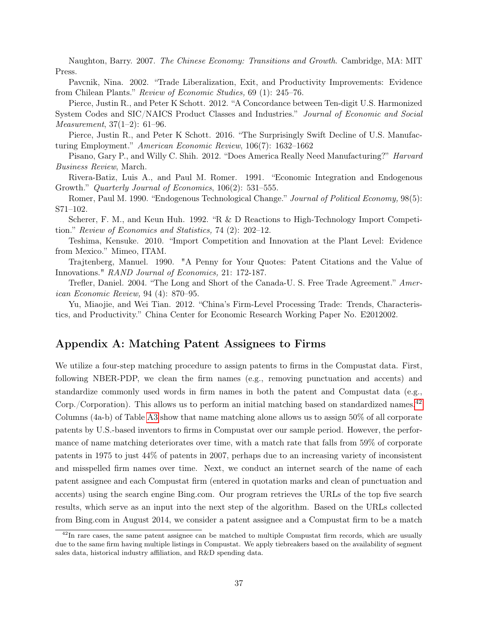Naughton, Barry. 2007. The Chinese Economy: Transitions and Growth. Cambridge, MA: MIT Press.

Pavcnik, Nina. 2002. "Trade Liberalization, Exit, and Productivity Improvements: Evidence from Chilean Plants." Review of Economic Studies, 69 (1): 245–76.

Pierce, Justin R., and Peter K Schott. 2012. "A Concordance between Ten-digit U.S. Harmonized System Codes and SIC/NAICS Product Classes and Industries." Journal of Economic and Social Measurement, 37(1–2): 61–96.

Pierce, Justin R., and Peter K Schott. 2016. "The Surprisingly Swift Decline of U.S. Manufacturing Employment." American Economic Review, 106(7): 1632–1662

Pisano, Gary P., and Willy C. Shih. 2012. "Does America Really Need Manufacturing?" *Harvard* Business Review, March.

Rivera-Batiz, Luis A., and Paul M. Romer. 1991. "Economic Integration and Endogenous Growth." Quarterly Journal of Economics, 106(2): 531–555.

Romer, Paul M. 1990. "Endogenous Technological Change." Journal of Political Economy, 98(5): S71–102.

Scherer, F. M., and Keun Huh. 1992. "R & D Reactions to High-Technology Import Competition." Review of Economics and Statistics, 74 (2): 202–12.

Teshima, Kensuke. 2010. "Import Competition and Innovation at the Plant Level: Evidence from Mexico." Mimeo, ITAM.

Trajtenberg, Manuel. 1990. "A Penny for Your Quotes: Patent Citations and the Value of Innovations." RAND Journal of Economics, 21: 172-187.

Trefler, Daniel. 2004. "The Long and Short of the Canada-U. S. Free Trade Agreement." American Economic Review, 94 (4): 870–95.

Yu, Miaojie, and Wei Tian. 2012. "China's Firm-Level Processing Trade: Trends, Characteristics, and Productivity." China Center for Economic Research Working Paper No. E2012002.

# Appendix A: Matching Patent Assignees to Firms

We utilize a four-step matching procedure to assign patents to firms in the Compustat data. First, following NBER-PDP, we clean the firm names (e.g., removing punctuation and accents) and standardize commonly used words in firm names in both the patent and Compustat data (e.g., Corp./Corporation). This allows us to perform an initial matching based on standardized names.<sup>[42](#page-37-0)</sup> Columns (4a-b) of Table [A3](#page-40-1) show that name matching alone allows us to assign 50% of all corporate patents by U.S.-based inventors to firms in Compustat over our sample period. However, the performance of name matching deteriorates over time, with a match rate that falls from 59% of corporate patents in 1975 to just 44% of patents in 2007, perhaps due to an increasing variety of inconsistent and misspelled firm names over time. Next, we conduct an internet search of the name of each patent assignee and each Compustat firm (entered in quotation marks and clean of punctuation and accents) using the search engine Bing.com. Our program retrieves the URLs of the top five search results, which serve as an input into the next step of the algorithm. Based on the URLs collected from Bing.com in August 2014, we consider a patent assignee and a Compustat firm to be a match

<span id="page-37-0"></span><sup>&</sup>lt;sup>42</sup>In rare cases, the same patent assignee can be matched to multiple Compustat firm records, which are usually due to the same firm having multiple listings in Compustat. We apply tiebreakers based on the availability of segment sales data, historical industry affiliation, and R&D spending data.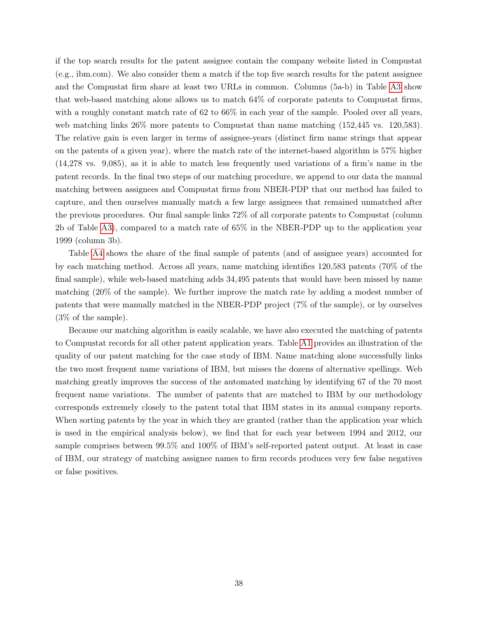if the top search results for the patent assignee contain the company website listed in Compustat (e.g., ibm.com). We also consider them a match if the top five search results for the patent assignee and the Compustat firm share at least two URLs in common. Columns (5a-b) in Table [A3](#page-40-1) show that web-based matching alone allows us to match 64% of corporate patents to Compustat firms, with a roughly constant match rate of  $62$  to  $66\%$  in each year of the sample. Pooled over all years, web matching links 26% more patents to Compustat than name matching (152,445 vs. 120,583). The relative gain is even larger in terms of assignee-years (distinct firm name strings that appear on the patents of a given year), where the match rate of the internet-based algorithm is 57% higher (14,278 vs. 9,085), as it is able to match less frequently used variations of a firm's name in the patent records. In the final two steps of our matching procedure, we append to our data the manual matching between assignees and Compustat firms from NBER-PDP that our method has failed to capture, and then ourselves manually match a few large assignees that remained unmatched after the previous procedures. Our final sample links 72% of all corporate patents to Compustat (column 2b of Table [A3\)](#page-40-1), compared to a match rate of 65% in the NBER-PDP up to the application year 1999 (column 3b).

Table [A4](#page-41-0) shows the share of the final sample of patents (and of assignee years) accounted for by each matching method. Across all years, name matching identifies 120,583 patents (70% of the final sample), while web-based matching adds 34,495 patents that would have been missed by name matching (20% of the sample). We further improve the match rate by adding a modest number of patents that were manually matched in the NBER-PDP project (7% of the sample), or by ourselves (3% of the sample).

Because our matching algorithm is easily scalable, we have also executed the matching of patents to Compustat records for all other patent application years. Table [A1](#page-39-0) provides an illustration of the quality of our patent matching for the case study of IBM. Name matching alone successfully links the two most frequent name variations of IBM, but misses the dozens of alternative spellings. Web matching greatly improves the success of the automated matching by identifying 67 of the 70 most frequent name variations. The number of patents that are matched to IBM by our methodology corresponds extremely closely to the patent total that IBM states in its annual company reports. When sorting patents by the year in which they are granted (rather than the application year which is used in the empirical analysis below), we find that for each year between 1994 and 2012, our sample comprises between 99.5% and 100% of IBM's self-reported patent output. At least in case of IBM, our strategy of matching assignee names to firm records produces very few false negatives or false positives.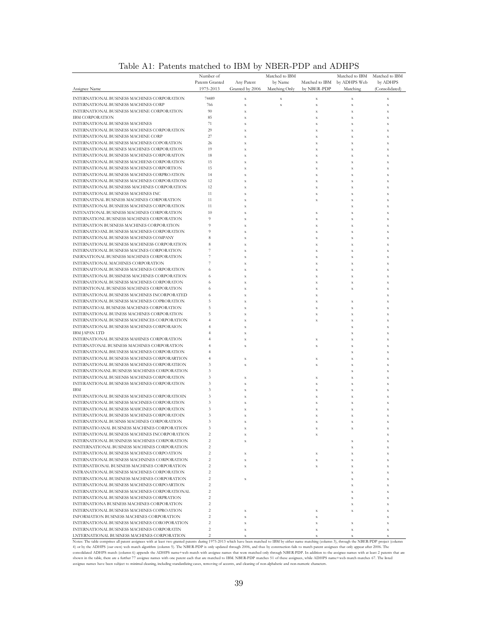|                                                                                             | Number of                        |                            | Matched to IBM |                | Matched to IBM            | Matched to IBM |
|---------------------------------------------------------------------------------------------|----------------------------------|----------------------------|----------------|----------------|---------------------------|----------------|
|                                                                                             | Patents Granted                  | Any Patent                 | by Name        | Matched to IBM | by ADHPS Web              | by ADHPS       |
| Assignee Name                                                                               | 1975-2013                        | Granted by 2006            | Matching Only  | by NBER-PDP    | Matching                  | (Consolidated) |
| INTERNATIONAL BUSINESS MACHINES CORPORATION                                                 | 74489                            | $\mathbf x$                | $\mathbf x$    | $\mathbf x$    | $\mathbf x$               | $\mathbf x$    |
| INTERNATIONAL BUSINESS MACHINES CORP                                                        | 766                              | $\bf x$                    | $\mathbf x$    | $\mathbf x$    | $\mathbf x$               | $\mathbf x$    |
| INTERNATIONAL BUSINESS MACHINE CORPORATION                                                  | 90                               | $\mathbf x$                |                | $\mathbf x$    | $\mathbf x$               | $\mathbf x$    |
| <b>IBM CORPORATION</b>                                                                      | 85                               | $\mathbf x$                |                | $\mathbf x$    | $\mathbf x$               | X              |
| INTERNATIONAL BUSINESS MACHINES                                                             | 71                               | $\bf x$                    |                | $\mathbf{x}$   | $\mathbf{x}$              | $\bf x$        |
| INTERNATIONAL BUISNESS MACHINES CORPORATION                                                 | 29                               | $\mathbf x$                |                | $\bf x$        | $\bf x$                   | X              |
| INTERNATIONAL BUSINESS MACHINE CORP                                                         | 27                               | $\bf x$                    |                | $\bf x$        | $\mathbf{x}$              | X              |
| INTERNATIONAL BUSINESS MACHINES COPORATION                                                  | 26                               | $\mathbf x$                |                | $\mathbf x$    | $\mathbf x$               | X              |
| INTERNATIONAL BUSINES MACHINES CORPORATION                                                  | 19                               | $\mathbf x$                |                | $\bf x$        | $\bf x$                   | $\bf x$        |
| INTERNATIONAL BUSINESS MACHINES CORPORAITON                                                 | 18                               | $\bf x$                    |                | $\mathbf{x}$   | $\boldsymbol{\mathrm{x}}$ | X              |
| INTERNATIONAL BUSINESS MACHIENS CORPORATION                                                 | 15                               | $\mathbf x$                |                | $\mathbf x$    | $\mathbf x$               | X              |
| INTERNATIONAL BUSINESS MACHINES CORPORTION                                                  | 15                               | $\bf x$                    |                | $\mathbf{x}$   | $\mathbf{x}$              | $\bf x$        |
| INTERNATIONAL BUSINESS MACHINES CORPROATION                                                 | 14                               | $\mathbf x$                |                | $\mathbf x$    | $\bf x$                   | X              |
| INTERNATIONAL BUSINESS MACHINES CORPORATIONS                                                | 12                               | $\mathbf x$                |                | $\mathbf x$    | $\mathbf x$               | $\mathbf x$    |
| INTERNATIONAL BUSINESSS MACHINES CORPORATION                                                | 12                               | $\mathbf x$                |                | $\mathbf x$    | $\mathbf x$               | X              |
| INTERNATIONAL BUSINESS MACHINES INC<br>INTERNATINAL BUSINESS MACHINES CORPORATION           | 11                               | $\mathbf x$                |                | $\bf x$        | $\bf x$                   | X              |
| INTERNATIONAL BUSNIESS MACHINES CORPORATION                                                 | 11<br>11                         | $\bf x$                    |                | $\mathbf{x}$   | $\bf x$                   | $\bf x$        |
| INTENATIONAL BUSINESS MACHINES CORPORATION                                                  | 10                               | $\mathbf x$<br>$\mathbf x$ |                | $\bf x$        | $\mathbf x$<br>$\bf x$    | X<br>$\bf x$   |
| INTERNATIONL BUSINESS MACHINES CORPORATION                                                  | 9                                | $\mathbf x$                |                | $\mathbf x$    | $\mathbf x$               | X              |
| INTERNATION BUSINESS MACHINES CORPORATION                                                   | $\overline{9}$                   | $\mathbf x$                |                | $\mathbf x$    | $\mathbf x$               | X              |
| INTERNATIOANL BUSINESS MACHINES CORPORATION                                                 | 9                                | $\bf x$                    |                | $\mathbf{x}$   | $\mathbf{x}$              | $\bf x$        |
| INTERNATIONAL BUSINESS MACHINES COMPANY                                                     | 8                                | $\mathbf x$                |                | $\bf x$        | $\bf x$                   | X              |
| INTERNATIONAL BUSINESS MACHINESS CORPORATION                                                | 8                                | $\mathbf x$                |                | $\bf x$        | $\mathbf{x}$              | X              |
| INTERNATIONAL BUSINESS MACINES CORPORATION                                                  | $\overline{\phantom{a}}$         | $\mathbf x$                |                | $\mathbf x$    | $\mathbf x$               | X              |
| INERNATIONAL BUSINESS MACHINES CORPORATION                                                  | $\overline{\phantom{a}}$         | $\mathbf x$                |                | $\mathbf{x}$   | $\mathbf x$               | $\bf x$        |
| INTERNATIONAL MACHINES CORPORATION                                                          | 7                                | $\bf x$                    |                | $\mathbf{x}$   | $\bf x$                   | X              |
| INTERNAITONAL BUSINESS MACHINES CORPORATION                                                 | 6                                | $\mathbf x$                |                | $\mathbf x$    | $\mathbf x$               | X              |
| INTERNATIONAL BUSSINESS MACHINES CORPORATION                                                | 6                                | $\mathbf x$                |                | $\mathbf{x}$   | $\mathbf{x}$              | $\bf x$        |
| INTERNATIONAL BUSINESS MACHINES CORPORATON                                                  | 6                                | $\mathbf x$                |                | $\mathbf x$    | $\mathbf x$               | X              |
| INTERNITONAL BUSINESS MACHINES CORPORATION                                                  | 6                                | $\mathbf x$                |                | $\bf x$        | $\mathbf x$               | $\mathbf x$    |
| INTERNATIONAL BUSINESS MACHINES INCORPORATED                                                | 6                                | $\mathbf x$                |                | $\mathbf x$    |                           | X              |
| INTERNATIONAL BUSINESS MACHINES COPRORATION                                                 | 5                                | $\mathbf x$                |                | $\bf x$        | $\bf x$                   | X              |
| INTERNATIOAL BUSINESS MACHINES CORPORATION                                                  | 5                                | $\bf x$                    |                | $\mathbf{x}$   | $\bf x$                   | $\bf x$        |
| INTERNATIONAL BUINESS MACHINES CORPORATION                                                  | 5                                | $\mathbf x$                |                | $\bf x$        | $\mathbf x$               | X              |
| INTERNATIONAL BUSINESS MACHINCES CORPORATION                                                | $\overline{4}$                   | $\mathbf x$                |                | $\bf x$        | $\mathbf x$               | $\bf x$        |
| INTERNATIONAL BUSINESS MACHINES CORPORAION                                                  | $\overline{4}$                   | $\mathbf x$                |                |                | $\bf x$                   | X              |
| <b>IBM JAPAN LTD</b>                                                                        | $\overline{4}$                   | $\bf x$                    |                |                | $\bf x$                   | X              |
| INTERNATIONAL BUSINESS MAHINES CORPORATION                                                  | $\overline{4}$<br>4              | $\mathbf x$                |                | $\mathbf{x}$   | $\bf x$                   | $\bf x$        |
| INTERNATONAL BUSINESS MACHINES CORPORATION<br>INTERNATIONAL BSUINESS MACHINES CORPORATION   | $\overline{4}$                   | $\mathbf x$                |                | $\bf x$        | $\bf x$<br>$\bf x$        | X              |
| INTERNATIONAL BUSINESS MACHINES CORPORARTION                                                | $\overline{4}$                   | $\mathbf x$                |                | $\mathbf x$    | $\mathbf x$               | X<br>X         |
| INTERNATIONAL BUSINESS MACHINES CORPORATIION                                                | 3                                | $\bf x$                    |                | $\bf x$        | $\bf x$                   | $\bf x$        |
| INTERNATIONANL BUSINESS MACHINES CORPORATION                                                | 3                                |                            |                |                | $\bf x$                   | X              |
| INTERNATIONAL BUSIENSS MACHINES CORPORATION                                                 | $\sqrt{3}$                       | $\mathbf x$                |                | $\bf x$        | $\mathbf x$               | X              |
| INTERANTIONAL BUSINESS MACHINES CORPORATION                                                 | 3                                | $\mathbf x$                |                | $\bf x$        | $\bf x$                   | $\bf x$        |
| <b>IBM</b>                                                                                  | $\sqrt{3}$                       | $\mathbf x$                |                | $\bf x$        | $\bf x$                   | X              |
| INTERNATIONAL BUSINESS MACHINES CORPORATIOIN                                                | 3                                | $\mathbf x$                |                | $\bf x$        | $\mathbf x$               | X              |
| INTERNATIONAL BUSINESS MACHNIES CORPORATION                                                 | $\sqrt{3}$                       | $\mathbf x$                |                | $\mathbf{x}$   | $\mathbf x$               | X              |
| INTERNATIONAL BUSINESS MAHCINES CORPORATION                                                 | 3                                | $\bf x$                    |                | $\bf x$        | $\mathbf x$               | X              |
| INTERNATIONAL BUSINESS MACHINES CORPORATOIN                                                 | 3                                | $\bf x$                    |                | $\mathbf{x}$   | $\bf x$                   | $\bf x$        |
| INTERNATIONAL BUSINSS MACHINES CORPORATION                                                  | 3                                |                            |                |                |                           |                |
| INTERNATIOANAL BUSINESS MACHINES CORPORATION                                                | 3                                | X                          |                | X              | X                         | X              |
| INTERNATIONAL BUSINESS MACHINES INCORPORATION                                               | 2                                | x                          |                | X              |                           | x              |
| INTERNATIONAL BUSNINESS MACHINES CORPORATION                                                | $\sqrt{2}$                       | $\mathbf x$                |                |                | $\mathbf x$               | X              |
| INNTERNATIONAL BUSINESS MACHINES CORPORATION                                                | $\overline{c}$                   |                            |                |                | X                         | X              |
| INTERNATIONAL BUSINESS MACHINES CORPOATION                                                  | 2                                | $\mathbf x$                |                |                | $\bf x$                   | $\mathbf x$    |
| INTERNATIONAL BUSINESS MACHNINES CORPORATION                                                | $\overline{c}$                   | x                          |                | X              | X                         | $\bf x$        |
| INTERNATIIONAL BUSINESS MACHINES CORPORATION                                                | 2                                | $\mathbf x$                |                | X              | $\mathbf x$               | $\mathbf x$    |
| INTRANATIONAL BUSINESS MACHINES CORPORATION                                                 | $\overline{c}$                   |                            |                |                | $\mathbf{x}$              | $\bf x$        |
| INTERNATIONAL BUISINESS MACHINES CORPORATION<br>INTERNATIONAL BUSINESS MACHINES CORPOARTION | 2                                | $\mathbf x$                |                |                | X                         | X              |
| INTERNATIONAL BUSINESS MACHINES CORPORATIONAL                                               | $\overline{c}$<br>$\overline{c}$ |                            |                |                | $\bf x$                   | X              |
| INTERNATIONAL BUSINESS MACHINES CORPRATION                                                  | 2                                |                            |                |                | $\mathbf x$               | $\bf x$        |
| INTERNATIONA BUSINESS MACHINES CORPORATION                                                  | $\sqrt{2}$                       |                            |                |                | $\bf x$<br>$\mathbf x$    | X<br>X         |
| INTERNATIONAL BUSINESS MACHINES COPROATION                                                  | $\overline{c}$                   | $\mathbf x$                |                | X              | $\mathbf x$               | X              |
| INFORMATION BUSINESS MACHINES CORPORATION                                                   | $\overline{c}$                   | $\mathbf x$                |                | $\mathbf{x}$   |                           | $\bf x$        |
| INTERNATIONAL BUSINESS MACHINES COROPORATION                                                | $\overline{c}$                   | x                          |                | $\mathbf x$    | $\mathbf x$               | $\bf x$        |
| INTERNATIONAL BUSINESS MACHINES CORPORATIN                                                  | $\overline{c}$                   | $\mathbf x$                |                |                | $\mathbf x$               | X              |
|                                                                                             |                                  |                            |                |                |                           |                |

### <span id="page-39-0"></span>Table A1: Patents matched to IBM by NBER-PDP and ADHPS

X EXTERNATIONAL BUSINESS MACHINES CORPORATION<br>Notes: The table comprises all patent assignees with at least two granted patents during 1975-2013 which have been matched to IBM by either name matching (column 3), through th shown in the table, there are a further 77 assignee names with one patent each that are matched to IBM. NBER-PDP matches 51 of these assignees, while ADHPS name+web match matches 67. The listed<br>assignee names have been sub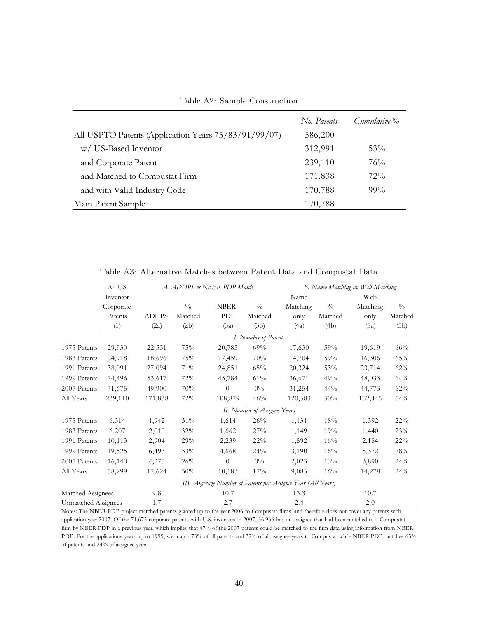<span id="page-40-0"></span>Table A2: Sample Construction

|                                                      | No. Patents | Cumulative % |
|------------------------------------------------------|-------------|--------------|
| All USPTO Patents (Application Years 75/83/91/99/07) | 586,200     |              |
| w/ US-Based Inventor                                 | 312,991     | 53%          |
| and Corporate Patent                                 | 239,110     | 76%          |
| and Matched to Compustat Firm                        | 171,838     | $72\%$       |
| and with Valid Industry Code                         | 170,788     | $99\%$       |
| Main Patent Sample                                   | 170,788     |              |

|                                   | All US    | A. ADHPS vs NBER-PDP Match |                              |          |                      | B. Name Matching vs. Web Matching                             |               |          |               |  |  |
|-----------------------------------|-----------|----------------------------|------------------------------|----------|----------------------|---------------------------------------------------------------|---------------|----------|---------------|--|--|
|                                   | Inventor  |                            | Name                         |          |                      |                                                               |               | Web      |               |  |  |
|                                   | Corporate |                            | $\frac{0}{0}$                | NBER-    | $\frac{0}{0}$        | Matching                                                      | $\frac{0}{0}$ | Matching | $\frac{0}{0}$ |  |  |
|                                   | Patents   | <b>ADHPS</b>               | Matched                      | PDP      | Matched              | only                                                          | Matched       | only     | Matched       |  |  |
|                                   | (1)       | (2a)                       | (2b)                         | (3a)     | (3b)                 | (4a)                                                          | (4b)          | (5a)     | (5b)          |  |  |
|                                   |           |                            |                              |          | I. Number of Patents |                                                               |               |          |               |  |  |
| 1975 Patents                      | 29,930    | 22,531                     | 75%                          | 20,785   | 69%                  | 17,630                                                        | 59%           | 19,619   | 66%           |  |  |
| 1983 Patents                      | 24,918    | 18,696                     | 75%                          | 17,459   | 70%                  | 14,704                                                        | 59%           | 16,306   | 65%           |  |  |
| 1991 Patents                      | 38,091    | 27,094                     | 71%                          | 24,851   | 65%                  | 20,324                                                        | 53%           | 23,714   | 62%           |  |  |
| 1999 Patents                      | 74,496    | 53,617                     | 72%                          | 45,784   | 61%                  | 36,671                                                        | 49%           | 48,033   | 64%           |  |  |
| 2007 Patents                      | 71,675    | 49,900                     | 70%                          | $\theta$ | $0\%$                | 31,254                                                        | 44%           | 44,773   | 62%           |  |  |
| All Years                         | 239,110   | 171,838                    | 72%                          | 108,879  | 46%                  | 120,583                                                       | 50%           | 152,445  | 64%           |  |  |
|                                   |           |                            | II. Number of Assignee-Years |          |                      |                                                               |               |          |               |  |  |
| 1975 Patents                      | 6,314     | 1,942                      | 31%                          | 1,614    | 26%                  | 1,131                                                         | 18%           | 1,392    | 22%           |  |  |
| 1983 Patents                      | 6,207     | 2,010                      | 32%                          | 1,662    | 27%                  | 1,149                                                         | 19%           | 1,440    | 23%           |  |  |
| 1991 Patents                      | 10,113    | 2,904                      | 29%                          | 2,239    | 22%                  | 1,592                                                         | 16%           | 2,184    | 22%           |  |  |
| 1999 Patents                      | 19,525    | 6,493                      | 33%                          | 4,668    | 24%                  | 3,190                                                         | 16%           | 5,372    | 28%           |  |  |
| 2007 Patents                      | 16,140    | 4,275                      | 26%                          | $\theta$ | $0\%$                | 2,023                                                         | 13%           | 3,890    | 24%           |  |  |
| All Years                         | 58,299    | 17,624                     | 30%                          | 10,183   | 17%                  | 9,085                                                         | 16%           | 14,278   | 24%           |  |  |
|                                   |           |                            |                              |          |                      | III. Avgerage Number of Patents per Assignee-Year (All Years) |               |          |               |  |  |
| Matched Assignees                 |           | 9.8                        |                              | 10.7     |                      |                                                               |               | 10.7     |               |  |  |
| <b>Unmatched Assignees</b><br>1.7 |           |                            | 2.7                          |          |                      | 2.4                                                           |               | 2.0      |               |  |  |

<span id="page-40-1"></span>Table A3: Alternative Matches between Patent Data and Compustat Data

Notes: The NBER-PDP project matched patents granted up to the year 2006 to Compustat firms, and therefore does not cover any patents with application year 2007. Of the 71,675 corporate patents with U.S. inventors in 2007, 36,966 had an assignee that had been matched to a Compustat firm by NBER-PDP in a previous year, which implies that 47% of the 2007 patents could be matched to the firm data using information from NBER-PDP. For the applications years up to 1999, we match 73% of all patents and 32% of all assignee-years to Compustat while NBER-PDP matches 65% of patents and 24% of assignee-years.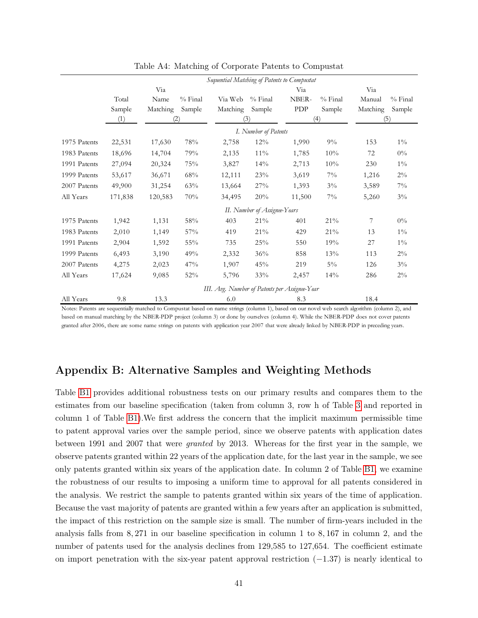|              |         | Sequential Matching of Patents to Compustat |           |                                               |                              |        |           |          |           |
|--------------|---------|---------------------------------------------|-----------|-----------------------------------------------|------------------------------|--------|-----------|----------|-----------|
|              |         | Via                                         |           |                                               |                              | Via    |           |          |           |
|              | Total   | Name                                        | $%$ Final | Via Web                                       | $%$ Final                    | NBER-  | $%$ Final | Manual   | $%$ Final |
|              | Sample  | Matching                                    | Sample    | Matching                                      | Sample                       | PDP    | Sample    | Matching | Sample    |
|              | (1)     | (2)                                         |           | (3)                                           |                              | (4)    |           | (5)      |           |
|              |         |                                             |           |                                               | I. Number of Patents         |        |           |          |           |
| 1975 Patents | 22,531  | 17,630                                      | 78%       | 2,758                                         | 12%                          | 1,990  | $9\%$     | 153      | $1\%$     |
| 1983 Patents | 18,696  | 14,704                                      | 79%       | 2,135                                         | $11\%$                       | 1,785  | 10%       | 72       | $0\%$     |
| 1991 Patents | 27,094  | 20,324                                      | 75%       | 3,827                                         | 14%                          | 2,713  | 10%       | 230      | $1\%$     |
| 1999 Patents | 53,617  | 36,671                                      | 68%       | 12,111                                        | 23%                          | 3,619  | $7\%$     | 1,216    | $2\%$     |
| 2007 Patents | 49,900  | 31,254                                      | 63%       | 13,664                                        | 27%                          | 1,393  | $3\%$     | 3,589    | $7\%$     |
| All Years    | 171,838 | 120,583                                     | 70%       | 34,495                                        | 20%                          | 11,500 | $7\%$     | 5,260    | $3\%$     |
|              |         |                                             |           |                                               | II. Number of Assignee-Years |        |           |          |           |
| 1975 Patents | 1,942   | 1,131                                       | 58%       | 403                                           | $21\%$                       | 401    | 21%       | 7        | $0\%$     |
| 1983 Patents | 2,010   | 1,149                                       | 57%       | 419                                           | 21%                          | 429    | 21%       | 13       | $1\%$     |
| 1991 Patents | 2,904   | 1,592                                       | 55%       | 735                                           | 25%                          | 550    | 19%       | 27       | $1\%$     |
| 1999 Patents | 6,493   | 3,190                                       | 49%       | 2,332                                         | 36%                          | 858    | 13%       | 113      | $2\%$     |
| 2007 Patents | 4,275   | 2,023                                       | 47%       | 1,907                                         | 45%                          | 219    | $5\%$     | 126      | $3\%$     |
| All Years    | 17,624  | 9,085                                       | 52%       | 5,796                                         | 33%                          | 2,457  | 14%       | 286      | $2\%$     |
|              |         |                                             |           | III. Avg. Number of Patents per Assignee-Year |                              |        |           |          |           |
| All Years    | 9.8     | 13.3                                        |           | 6.0                                           |                              | 8.3    |           | 18.4     |           |

<span id="page-41-0"></span>Table A4: Matching of Corporate Patents to Compustat

Notes: Patents are sequentially matched to Compustat based on name strings (column 1), based on our novel web search algorithm (column 2), and based on manual matching by the NBER-PDP project (column 3) or done by ourselves (column 4). While the NBER-PDP does not cover patents granted after 2006, there are some name strings on patents with application year 2007 that were already linked by NBER-PDP in preceding years.

# Appendix B: Alternative Samples and Weighting Methods

Table [B1](#page-42-0) provides additional robustness tests on our primary results and compares them to the estimates from our baseline specification (taken from column 3, row h of Table [3](#page-20-0) and reported in column 1 of Table [B1\)](#page-42-0).We first address the concern that the implicit maximum permissible time to patent approval varies over the sample period, since we observe patents with application dates between 1991 and 2007 that were granted by 2013. Whereas for the first year in the sample, we observe patents granted within 22 years of the application date, for the last year in the sample, we see only patents granted within six years of the application date. In column 2 of Table [B1,](#page-42-0) we examine the robustness of our results to imposing a uniform time to approval for all patents considered in the analysis. We restrict the sample to patents granted within six years of the time of application. Because the vast majority of patents are granted within a few years after an application is submitted, the impact of this restriction on the sample size is small. The number of firm-years included in the analysis falls from 8, 271 in our baseline specification in column 1 to 8, 167 in column 2, and the number of patents used for the analysis declines from 129,585 to 127,654. The coefficient estimate on import penetration with the six-year patent approval restriction (−1.37) is nearly identical to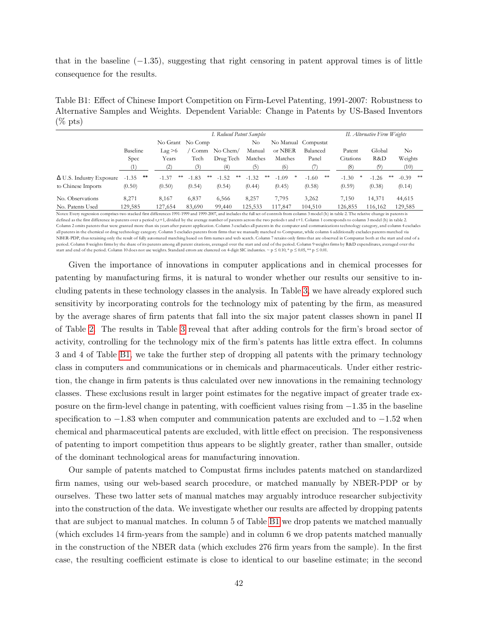that in the baseline  $(-1.35)$ , suggesting that right censoring in patent approval times is of little consequence for the results.

<span id="page-42-0"></span>Table B1: Effect of Chinese Import Competition on Firm-Level Patenting, 1991-2007: Robustness to Alternative Samples and Weights. Dependent Variable: Change in Patents by US-Based Inventors  $(\%$  pts)

|                                 | I. Reduced Patent Samples |                  |               |               |               |         |                     |           | II. Alternative Firm Weights |                  |  |
|---------------------------------|---------------------------|------------------|---------------|---------------|---------------|---------|---------------------|-----------|------------------------------|------------------|--|
|                                 |                           | No Grant No Comp |               |               | No            |         | No Manual Compustat |           |                              |                  |  |
|                                 | Baseline                  | $\text{Lag} > 6$ | Comm          | No Chem/      | Manual        | or NBER | Balanced            | Patent    | Global                       | No               |  |
|                                 | Spec                      | Years            | Tech          | Drug Tech     | Matches       | Matches | Panel               | Citations | R&D                          | Weights          |  |
|                                 | (1)                       | (2)              |               | (4)           | (5            | (6)     |                     | (8)       | (9)                          | (10)             |  |
| $\Delta$ U.S. Industry Exposure | $\ast\ast$<br>$-1.35$     | **<br>$-1.37$    | **<br>$-1.83$ | **<br>$-1.52$ | **<br>$-1.32$ | $-1.09$ | **<br>$-1.60$       | $-1.30$   | $-1.26$                      | $-0.39$ **<br>** |  |
| to Chinese Imports              | (0.50)                    | (0.50)           | (0.54)        | (0.54)        | (0.44)        | (0.45)  | (0.58)              | (0.59)    | (0.38)                       | (0.14)           |  |
| No. Observations                | 8,271                     | 8.167            | 6,837         | 6,566         | 8,257         | 7,795   | 3,262               | 7.150     | 14,371                       | 44,615           |  |
| No. Patents Used                | 129,585                   | 127,654          | 83,690        | 99,440        | 125,533       | 117,847 | 104,510             | 126,855   | 116,162                      | 129,585          |  |

on comprises two stacked first differences 1991-1999 and 1999-2007, and includes the full set of controls from column 3 model (h) in table 2. The relative change in patents is defined as the first difference in patents over a period t,t+1, divided by the average number of patents across the two periods t and t+1. Column 1 corresponds to column 3 model (h) in table 2. Column 2 omits patents that were granted more than six years after patent application. Column 3 excludes all patents in the computer and communications technology category, and column 4 excludes all patents in the chemical or drug technology category. Column 5 excludes patents from firms that we manually matched to Compustat, while column 6 additionally excludes patents matched via NBER-PDP, thus retaining only the result of fully automated matching based on firm names and web search. Column 7 retains only firms that are observed in Compustat both at the start and end of a period. Column 8 weights firms by the share of its patents among all patent citations, averaged over the start and end of the period. Column 9 weights firms by R&D expenditures, averaged over the start and end of the period. Column 10 does not use weights. Standard errors are clustered on 4-digit SIC industries. ~ p  $\leq 0.10, *$  p  $\leq 0.05, **$  p  $\leq 0.01$ .

Given the importance of innovations in computer applications and in chemical processes for patenting by manufacturing firms, it is natural to wonder whether our results our sensitive to including patents in these technology classes in the analysis. In Table [3,](#page-20-0) we have already explored such sensitivity by incorporating controls for the technology mix of patenting by the firm, as measured by the average shares of firm patents that fall into the six major patent classes shown in panel II of Table [2.](#page-14-0) The results in Table [3](#page-20-0) reveal that after adding controls for the firm's broad sector of activity, controlling for the technology mix of the firm's patents has little extra effect. In columns 3 and 4 of Table [B1,](#page-42-0) we take the further step of dropping all patents with the primary technology class in computers and communications or in chemicals and pharmaceuticals. Under either restriction, the change in firm patents is thus calculated over new innovations in the remaining technology classes. These exclusions result in larger point estimates for the negative impact of greater trade exposure on the firm-level change in patenting, with coefficient values rising from −1.35 in the baseline specification to −1.83 when computer and communication patents are excluded and to −1.52 when chemical and pharmaceutical patents are excluded, with little effect on precision. The responsiveness of patenting to import competition thus appears to be slightly greater, rather than smaller, outside of the dominant technological areas for manufacturing innovation.

Our sample of patents matched to Compustat firms includes patents matched on standardized firm names, using our web-based search procedure, or matched manually by NBER-PDP or by ourselves. These two latter sets of manual matches may arguably introduce researcher subjectivity into the construction of the data. We investigate whether our results are affected by dropping patents that are subject to manual matches. In column 5 of Table [B1](#page-42-0) we drop patents we matched manually (which excludes 14 firm-years from the sample) and in column 6 we drop patents matched manually in the construction of the NBER data (which excludes 276 firm years from the sample). In the first case, the resulting coefficient estimate is close to identical to our baseline estimate; in the second